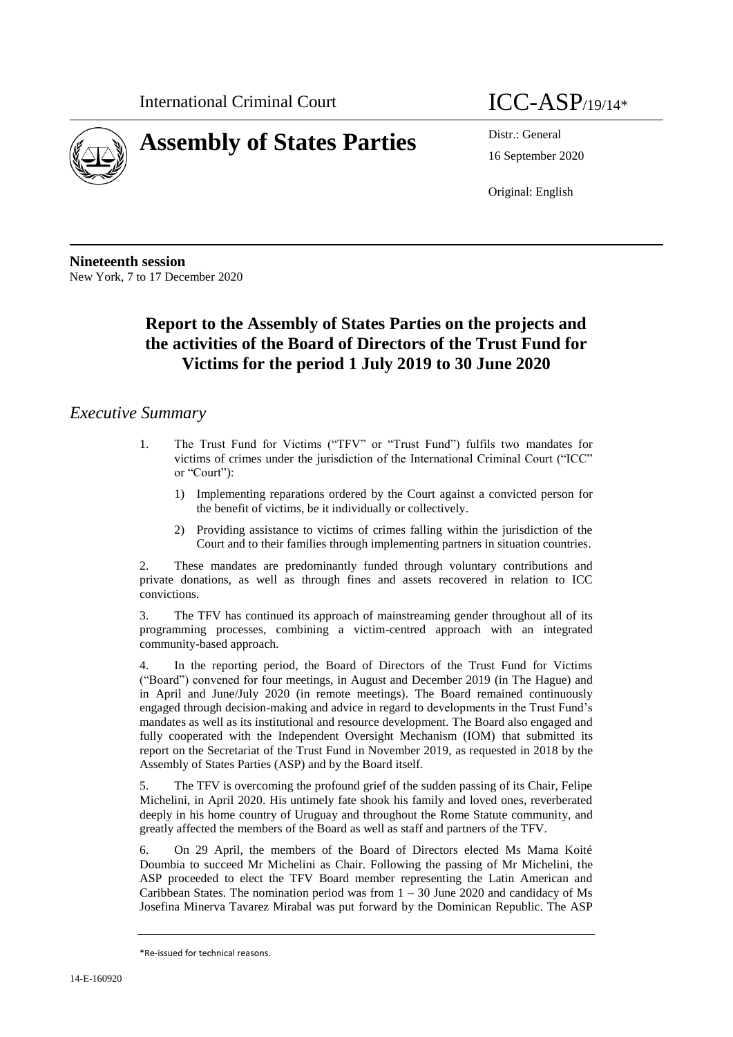

# **Assembly of States Parties** Distr.: General

16 September 2020

Original: English

**Nineteenth session** New York, 7 to 17 December 2020

# **Report to the Assembly of States Parties on the projects and the activities of the Board of Directors of the Trust Fund for Victims for the period 1 July 2019 to 30 June 2020**

# *Executive Summary*

- 1. The Trust Fund for Victims ("TFV" or "Trust Fund") fulfils two mandates for victims of crimes under the jurisdiction of the International Criminal Court ("ICC" or "Court"):
	- 1) Implementing reparations ordered by the Court against a convicted person for the benefit of victims, be it individually or collectively.
	- 2) Providing assistance to victims of crimes falling within the jurisdiction of the Court and to their families through implementing partners in situation countries.

2. These mandates are predominantly funded through voluntary contributions and private donations, as well as through fines and assets recovered in relation to ICC convictions.

3. The TFV has continued its approach of mainstreaming gender throughout all of its programming processes, combining a victim-centred approach with an integrated community-based approach.

4. In the reporting period, the Board of Directors of the Trust Fund for Victims ("Board") convened for four meetings, in August and December 2019 (in The Hague) and in April and June/July 2020 (in remote meetings). The Board remained continuously engaged through decision-making and advice in regard to developments in the Trust Fund's mandates as well as its institutional and resource development. The Board also engaged and fully cooperated with the Independent Oversight Mechanism (IOM) that submitted its report on the Secretariat of the Trust Fund in November 2019, as requested in 2018 by the Assembly of States Parties (ASP) and by the Board itself.

5. The TFV is overcoming the profound grief of the sudden passing of its Chair, Felipe Michelini, in April 2020. His untimely fate shook his family and loved ones, reverberated deeply in his home country of Uruguay and throughout the Rome Statute community, and greatly affected the members of the Board as well as staff and partners of the TFV.

6. On 29 April, the members of the Board of Directors elected Ms Mama Koité Doumbia to succeed Mr Michelini as Chair. Following the passing of Mr Michelini, the ASP proceeded to elect the TFV Board member representing the Latin American and Caribbean States. The nomination period was from  $1 - 30$  June 2020 and candidacy of Ms Josefina Minerva Tavarez Mirabal was put forward by the Dominican Republic. The ASP

<sup>\*</sup>Re-issued for technical reasons.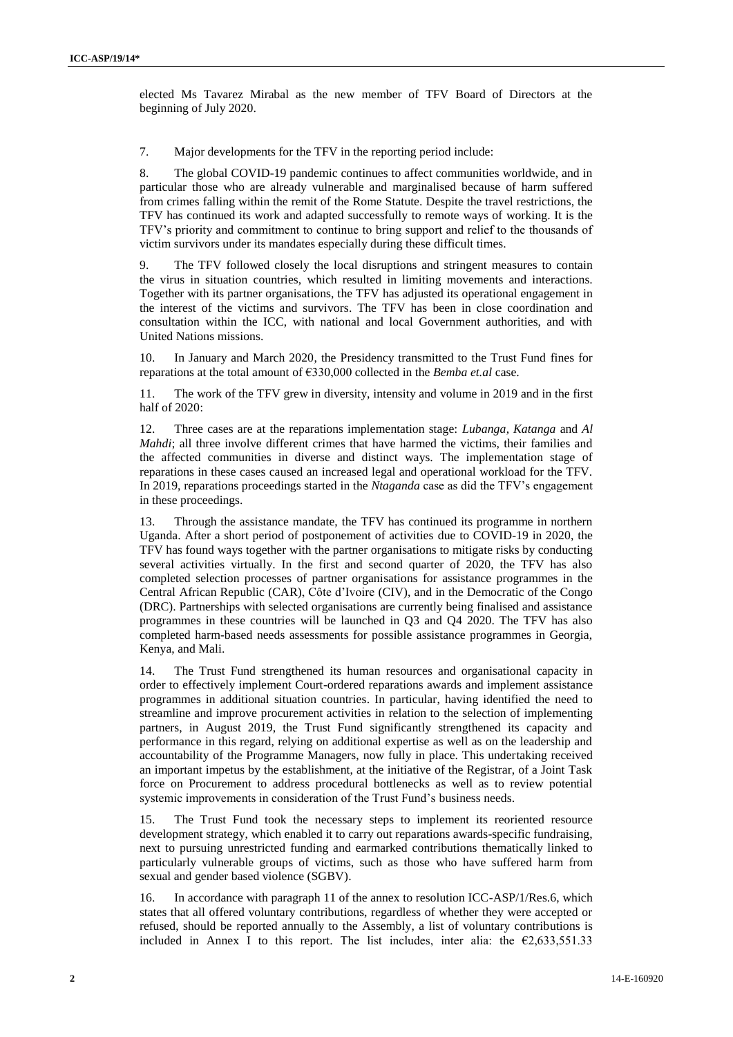elected Ms Tavarez Mirabal as the new member of TFV Board of Directors at the beginning of July 2020.

7. Major developments for the TFV in the reporting period include:

8. The global COVID-19 pandemic continues to affect communities worldwide, and in particular those who are already vulnerable and marginalised because of harm suffered from crimes falling within the remit of the Rome Statute. Despite the travel restrictions, the TFV has continued its work and adapted successfully to remote ways of working. It is the TFV's priority and commitment to continue to bring support and relief to the thousands of victim survivors under its mandates especially during these difficult times.

9. The TFV followed closely the local disruptions and stringent measures to contain the virus in situation countries, which resulted in limiting movements and interactions. Together with its partner organisations, the TFV has adjusted its operational engagement in the interest of the victims and survivors. The TFV has been in close coordination and consultation within the ICC, with national and local Government authorities, and with United Nations missions.

10. In January and March 2020, the Presidency transmitted to the Trust Fund fines for reparations at the total amount of €330,000 collected in the *Bemba et.al* case.

11. The work of the TFV grew in diversity, intensity and volume in 2019 and in the first half of 2020:

12. Three cases are at the reparations implementation stage: *Lubanga*, *Katanga* and *Al Mahdi*; all three involve different crimes that have harmed the victims, their families and the affected communities in diverse and distinct ways. The implementation stage of reparations in these cases caused an increased legal and operational workload for the TFV. In 2019, reparations proceedings started in the *Ntaganda* case as did the TFV's engagement in these proceedings.

13. Through the assistance mandate, the TFV has continued its programme in northern Uganda. After a short period of postponement of activities due to COVID-19 in 2020, the TFV has found ways together with the partner organisations to mitigate risks by conducting several activities virtually. In the first and second quarter of 2020, the TFV has also completed selection processes of partner organisations for assistance programmes in the Central African Republic (CAR), Côte d'Ivoire (CIV), and in the Democratic of the Congo (DRC). Partnerships with selected organisations are currently being finalised and assistance programmes in these countries will be launched in Q3 and Q4 2020. The TFV has also completed harm-based needs assessments for possible assistance programmes in Georgia, Kenya, and Mali.

14. The Trust Fund strengthened its human resources and organisational capacity in order to effectively implement Court-ordered reparations awards and implement assistance programmes in additional situation countries. In particular, having identified the need to streamline and improve procurement activities in relation to the selection of implementing partners, in August 2019, the Trust Fund significantly strengthened its capacity and performance in this regard, relying on additional expertise as well as on the leadership and accountability of the Programme Managers, now fully in place. This undertaking received an important impetus by the establishment, at the initiative of the Registrar, of a Joint Task force on Procurement to address procedural bottlenecks as well as to review potential systemic improvements in consideration of the Trust Fund's business needs.

15. The Trust Fund took the necessary steps to implement its reoriented resource development strategy, which enabled it to carry out reparations awards-specific fundraising, next to pursuing unrestricted funding and earmarked contributions thematically linked to particularly vulnerable groups of victims, such as those who have suffered harm from sexual and gender based violence (SGBV).

In accordance with paragraph 11 of the annex to resolution ICC-ASP/1/Res.6, which states that all offered voluntary contributions, regardless of whether they were accepted or refused, should be reported annually to the Assembly, a list of voluntary contributions is included in Annex I to this report. The list includes, inter alia: the  $\epsilon$ 2,633,551.33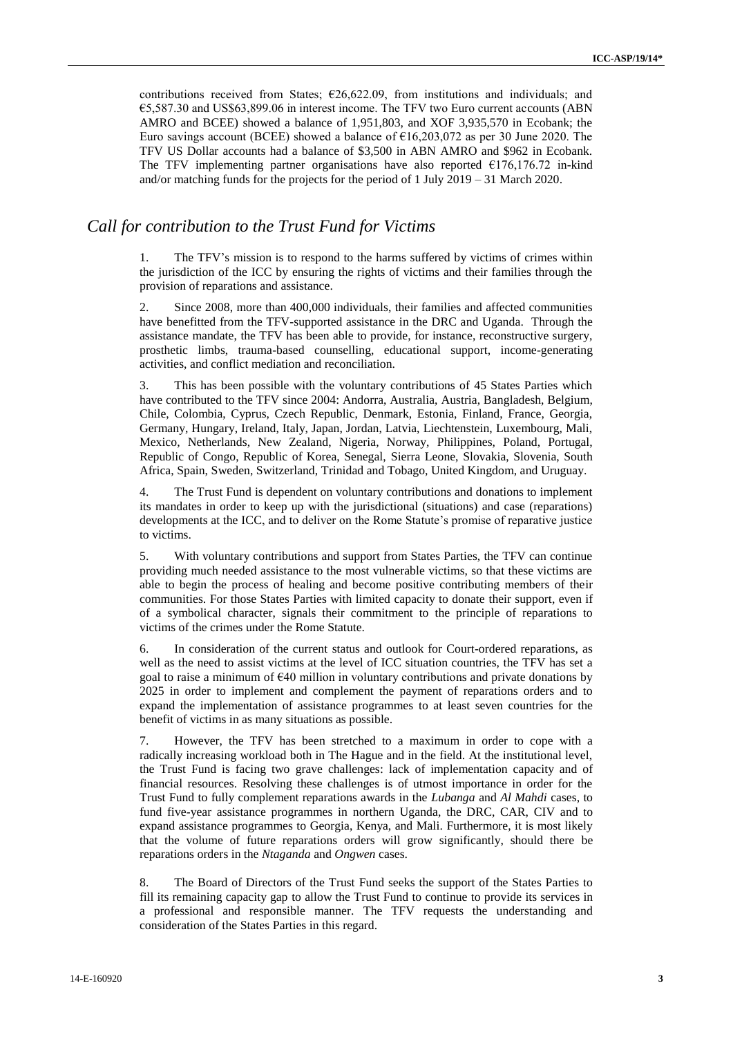contributions received from States;  $\epsilon$ 26,622.09, from institutions and individuals; and €5,587.30 and US\$63,899.06 in interest income. The TFV two Euro current accounts (ABN AMRO and BCEE) showed a balance of 1,951,803, and XOF 3,935,570 in Ecobank; the Euro savings account (BCEE) showed a balance of  $\epsilon$ 16,203,072 as per 30 June 2020. The TFV US Dollar accounts had a balance of \$3,500 in ABN AMRO and \$962 in Ecobank. The TFV implementing partner organisations have also reported  $\epsilon$ 176,176.72 in-kind and/or matching funds for the projects for the period of 1 July 2019 – 31 March 2020.

## *Call for contribution to the Trust Fund for Victims*

1. The TFV's mission is to respond to the harms suffered by victims of crimes within the jurisdiction of the ICC by ensuring the rights of victims and their families through the provision of reparations and assistance.

2. Since 2008, more than 400,000 individuals, their families and affected communities have benefitted from the TFV-supported assistance in the DRC and Uganda. Through the assistance mandate, the TFV has been able to provide, for instance, reconstructive surgery, prosthetic limbs, trauma-based counselling, educational support, income-generating activities, and conflict mediation and reconciliation.

3. This has been possible with the voluntary contributions of 45 States Parties which have contributed to the TFV since 2004: Andorra, Australia, Austria, Bangladesh, Belgium, Chile, Colombia, Cyprus, Czech Republic, Denmark, Estonia, Finland, France, Georgia, Germany, Hungary, Ireland, Italy, Japan, Jordan, Latvia, Liechtenstein, Luxembourg, Mali, Mexico, Netherlands, New Zealand, Nigeria, Norway, Philippines, Poland, Portugal, Republic of Congo, Republic of Korea, Senegal, Sierra Leone, Slovakia, Slovenia, South Africa, Spain, Sweden, Switzerland, Trinidad and Tobago, United Kingdom, and Uruguay.

4. The Trust Fund is dependent on voluntary contributions and donations to implement its mandates in order to keep up with the jurisdictional (situations) and case (reparations) developments at the ICC, and to deliver on the Rome Statute's promise of reparative justice to victims.

5. With voluntary contributions and support from States Parties, the TFV can continue providing much needed assistance to the most vulnerable victims, so that these victims are able to begin the process of healing and become positive contributing members of their communities. For those States Parties with limited capacity to donate their support, even if of a symbolical character, signals their commitment to the principle of reparations to victims of the crimes under the Rome Statute.

6. In consideration of the current status and outlook for Court-ordered reparations, as well as the need to assist victims at the level of ICC situation countries, the TFV has set a goal to raise a minimum of  $\epsilon$ 40 million in voluntary contributions and private donations by 2025 in order to implement and complement the payment of reparations orders and to expand the implementation of assistance programmes to at least seven countries for the benefit of victims in as many situations as possible.

7. However, the TFV has been stretched to a maximum in order to cope with a radically increasing workload both in The Hague and in the field. At the institutional level, the Trust Fund is facing two grave challenges: lack of implementation capacity and of financial resources. Resolving these challenges is of utmost importance in order for the Trust Fund to fully complement reparations awards in the *Lubanga* and *Al Mahdi* cases, to fund five-year assistance programmes in northern Uganda, the DRC, CAR, CIV and to expand assistance programmes to Georgia, Kenya, and Mali. Furthermore, it is most likely that the volume of future reparations orders will grow significantly, should there be reparations orders in the *Ntaganda* and *Ongwen* cases.

8. The Board of Directors of the Trust Fund seeks the support of the States Parties to fill its remaining capacity gap to allow the Trust Fund to continue to provide its services in a professional and responsible manner. The TFV requests the understanding and consideration of the States Parties in this regard.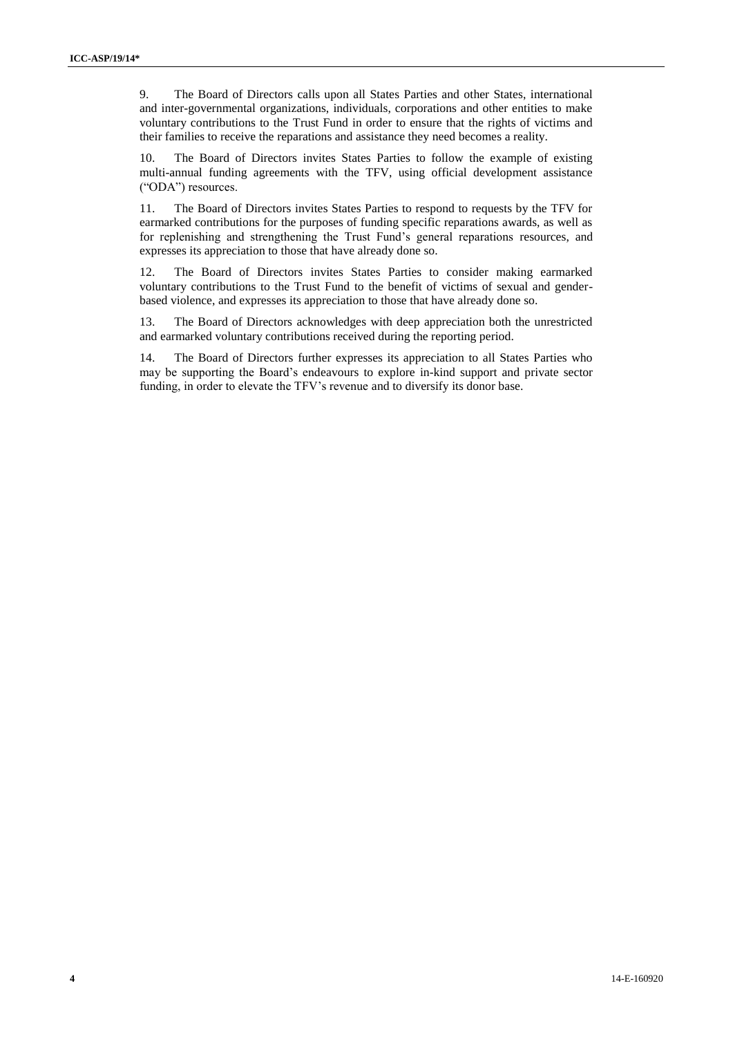9. The Board of Directors calls upon all States Parties and other States, international and inter-governmental organizations, individuals, corporations and other entities to make voluntary contributions to the Trust Fund in order to ensure that the rights of victims and their families to receive the reparations and assistance they need becomes a reality.

10. The Board of Directors invites States Parties to follow the example of existing multi-annual funding agreements with the TFV, using official development assistance ("ODA") resources.

11. The Board of Directors invites States Parties to respond to requests by the TFV for earmarked contributions for the purposes of funding specific reparations awards, as well as for replenishing and strengthening the Trust Fund's general reparations resources, and expresses its appreciation to those that have already done so.

12. The Board of Directors invites States Parties to consider making earmarked voluntary contributions to the Trust Fund to the benefit of victims of sexual and genderbased violence, and expresses its appreciation to those that have already done so.

13. The Board of Directors acknowledges with deep appreciation both the unrestricted and earmarked voluntary contributions received during the reporting period.

14. The Board of Directors further expresses its appreciation to all States Parties who may be supporting the Board's endeavours to explore in-kind support and private sector funding, in order to elevate the TFV's revenue and to diversify its donor base.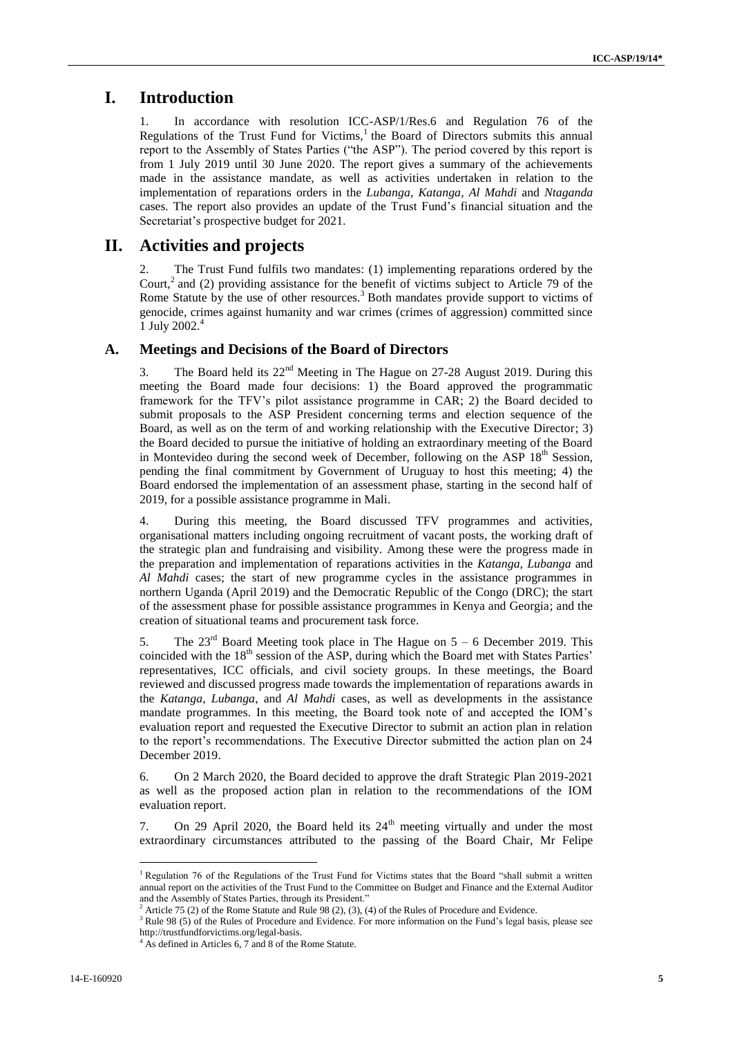# **I. Introduction**

1. In accordance with resolution ICC-ASP/1/Res.6 and Regulation 76 of the Regulations of the Trust Fund for Victims,<sup>1</sup> the Board of Directors submits this annual report to the Assembly of States Parties ("the ASP"). The period covered by this report is from 1 July 2019 until 30 June 2020. The report gives a summary of the achievements made in the assistance mandate, as well as activities undertaken in relation to the implementation of reparations orders in the *Lubanga, Katanga, Al Mahdi* and *Ntaganda* cases. The report also provides an update of the Trust Fund's financial situation and the Secretariat's prospective budget for 2021.

## **II. Activities and projects**

2. The Trust Fund fulfils two mandates: (1) implementing reparations ordered by the Court,<sup>2</sup> and (2) providing assistance for the benefit of victims subject to Article 79 of the Rome Statute by the use of other resources.<sup>3</sup> Both mandates provide support to victims of genocide, crimes against humanity and war crimes (crimes of aggression) committed since 1 July 2002. 4

## **A. Meetings and Decisions of the Board of Directors**

3. The Board held its  $22<sup>nd</sup>$  Meeting in The Hague on 27-28 August 2019. During this meeting the Board made four decisions: 1) the Board approved the programmatic framework for the TFV's pilot assistance programme in CAR; 2) the Board decided to submit proposals to the ASP President concerning terms and election sequence of the Board, as well as on the term of and working relationship with the Executive Director; 3) the Board decided to pursue the initiative of holding an extraordinary meeting of the Board in Montevideo during the second week of December, following on the ASP  $18<sup>th</sup>$  Session, pending the final commitment by Government of Uruguay to host this meeting; 4) the Board endorsed the implementation of an assessment phase, starting in the second half of 2019, for a possible assistance programme in Mali.

4. During this meeting, the Board discussed TFV programmes and activities, organisational matters including ongoing recruitment of vacant posts, the working draft of the strategic plan and fundraising and visibility. Among these were the progress made in the preparation and implementation of reparations activities in the *Katanga, Lubanga* and *Al Mahdi* cases; the start of new programme cycles in the assistance programmes in northern Uganda (April 2019) and the Democratic Republic of the Congo (DRC); the start of the assessment phase for possible assistance programmes in Kenya and Georgia; and the creation of situational teams and procurement task force.

5. The  $23<sup>rd</sup>$  Board Meeting took place in The Hague on  $5 - 6$  December 2019. This coincided with the 18<sup>th</sup> session of the ASP, during which the Board met with States Parties' representatives, ICC officials, and civil society groups. In these meetings, the Board reviewed and discussed progress made towards the implementation of reparations awards in the *Katanga*, *Lubanga*, and *Al Mahdi* cases, as well as developments in the assistance mandate programmes. In this meeting, the Board took note of and accepted the IOM's evaluation report and requested the Executive Director to submit an action plan in relation to the report's recommendations. The Executive Director submitted the action plan on 24 December 2019.

6. On 2 March 2020, the Board decided to approve the draft Strategic Plan 2019-2021 as well as the proposed action plan in relation to the recommendations of the IOM evaluation report.

7. On 29 April 2020, the Board held its  $24<sup>th</sup>$  meeting virtually and under the most extraordinary circumstances attributed to the passing of the Board Chair, Mr Felipe

 $\overline{a}$ 

<sup>&</sup>lt;sup>1</sup> Regulation 76 of the Regulations of the Trust Fund for Victims states that the Board "shall submit a written annual report on the activities of the Trust Fund to the Committee on Budget and Finance and the External Auditor and the Assembly of States Parties, through its President."

 $2$  Article 75 (2) of the Rome Statute and Rule 98 (2), (3), (4) of the Rules of Procedure and Evidence.

<sup>&</sup>lt;sup>3</sup> Rule 98 (5) of the Rules of Procedure and Evidence. For more information on the Fund's legal basis, please see http://trustfundforvictims.org/legal-basis.

As defined in Articles 6, 7 and 8 of the Rome Statute.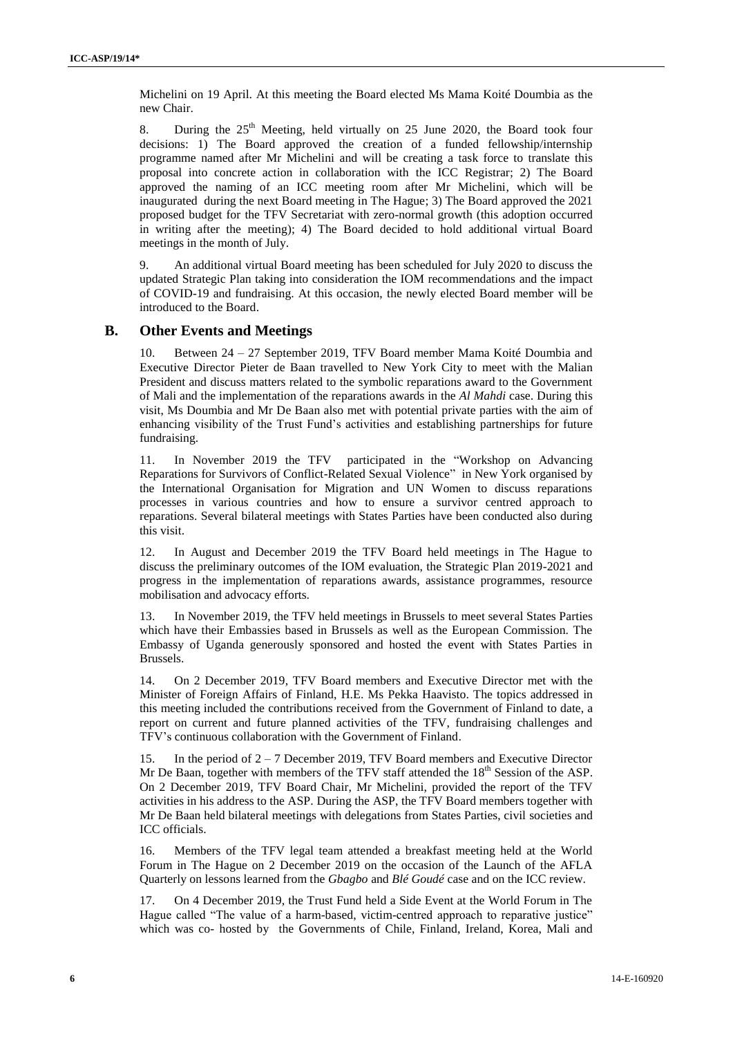Michelini on 19 April. At this meeting the Board elected Ms Mama Koité Doumbia as the new Chair.

8. During the  $25<sup>th</sup>$  Meeting, held virtually on 25 June 2020, the Board took four decisions: 1) The Board approved the creation of a funded fellowship/internship programme named after Mr Michelini and will be creating a task force to translate this proposal into concrete action in collaboration with the ICC Registrar; 2) The Board approved the naming of an ICC meeting room after Mr Michelini, which will be inaugurated during the next Board meeting in The Hague; 3) The Board approved the 2021 proposed budget for the TFV Secretariat with zero-normal growth (this adoption occurred in writing after the meeting); 4) The Board decided to hold additional virtual Board meetings in the month of July.

9. An additional virtual Board meeting has been scheduled for July 2020 to discuss the updated Strategic Plan taking into consideration the IOM recommendations and the impact of COVID-19 and fundraising. At this occasion, the newly elected Board member will be introduced to the Board.

#### **B. Other Events and Meetings**

10. Between 24 – 27 September 2019, TFV Board member Mama Koité Doumbia and Executive Director Pieter de Baan travelled to New York City to meet with the Malian President and discuss matters related to the symbolic reparations award to the Government of Mali and the implementation of the reparations awards in the *Al Mahdi* case. During this visit, Ms Doumbia and Mr De Baan also met with potential private parties with the aim of enhancing visibility of the Trust Fund's activities and establishing partnerships for future fundraising.

11. In November 2019 the TFV participated in the "Workshop on Advancing Reparations for Survivors of Conflict-Related Sexual Violence" in New York organised by the International Organisation for Migration and UN Women to discuss reparations processes in various countries and how to ensure a survivor centred approach to reparations. Several bilateral meetings with States Parties have been conducted also during this visit.

12. In August and December 2019 the TFV Board held meetings in The Hague to discuss the preliminary outcomes of the IOM evaluation, the Strategic Plan 2019-2021 and progress in the implementation of reparations awards, assistance programmes, resource mobilisation and advocacy efforts.

13. In November 2019, the TFV held meetings in Brussels to meet several States Parties which have their Embassies based in Brussels as well as the European Commission. The Embassy of Uganda generously sponsored and hosted the event with States Parties in Brussels.

14. On 2 December 2019, TFV Board members and Executive Director met with the Minister of Foreign Affairs of Finland, H.E. Ms Pekka Haavisto. The topics addressed in this meeting included the contributions received from the Government of Finland to date, a report on current and future planned activities of the TFV, fundraising challenges and TFV's continuous collaboration with the Government of Finland.

15. In the period of 2 – 7 December 2019, TFV Board members and Executive Director Mr De Baan, together with members of the TFV staff attended the  $18<sup>th</sup>$  Session of the ASP. On 2 December 2019, TFV Board Chair, Mr Michelini, provided the report of the TFV activities in his address to the ASP. During the ASP, the TFV Board members together with Mr De Baan held bilateral meetings with delegations from States Parties, civil societies and ICC officials.

16. Members of the TFV legal team attended a breakfast meeting held at the World Forum in The Hague on 2 December 2019 on the occasion of the Launch of the AFLA Quarterly on lessons learned from the *Gbagbo* and *Blé Goudé* case and on the ICC review.

17. On 4 December 2019, the Trust Fund held a Side Event at the World Forum in The Hague called "The value of a harm-based, victim-centred approach to reparative justice" which was co- hosted by the Governments of Chile, Finland, Ireland, Korea, Mali and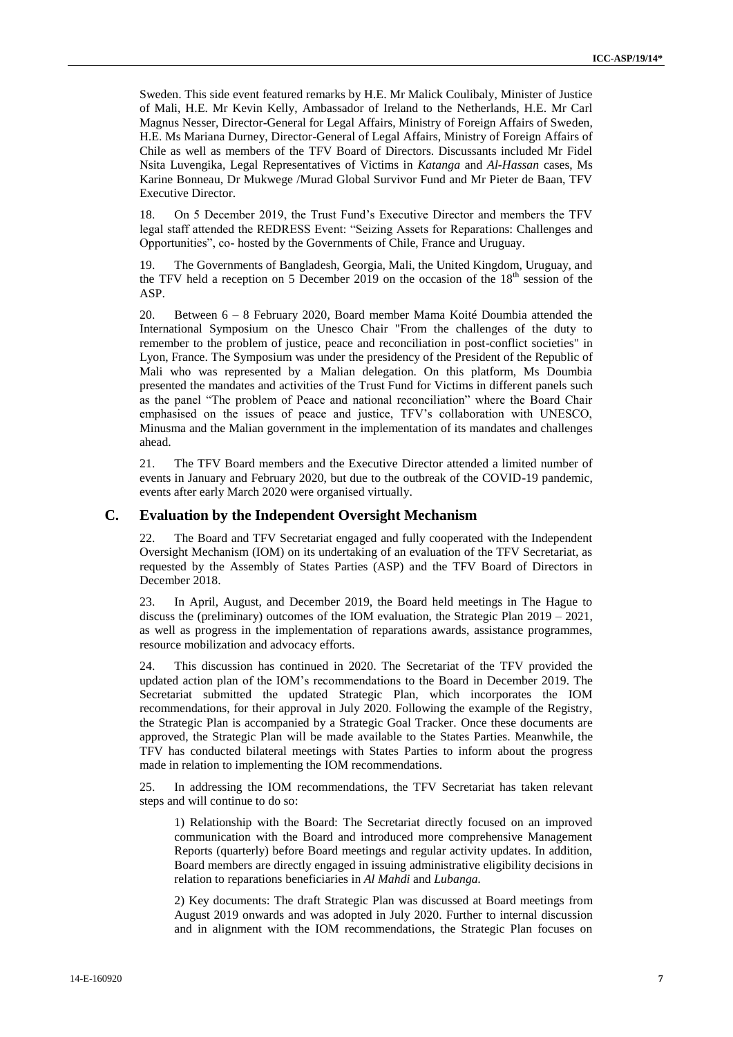Sweden. This side event featured remarks by H.E. Mr Malick Coulibaly, Minister of Justice of Mali, H.E. Mr Kevin Kelly, Ambassador of Ireland to the Netherlands, H.E. Mr Carl Magnus Nesser, Director-General for Legal Affairs, Ministry of Foreign Affairs of Sweden, H.E. Ms Mariana Durney, Director-General of Legal Affairs, Ministry of Foreign Affairs of Chile as well as members of the TFV Board of Directors. Discussants included Mr Fidel Nsita Luvengika, Legal Representatives of Victims in *Katanga* and *Al-Hassan* cases, Ms Karine Bonneau, Dr Mukwege /Murad Global Survivor Fund and Mr Pieter de Baan, TFV Executive Director.

18. On 5 December 2019, the Trust Fund's Executive Director and members the TFV legal staff attended the REDRESS Event: "Seizing Assets for Reparations: Challenges and Opportunities", co- hosted by the Governments of Chile, France and Uruguay.

19. The Governments of Bangladesh, Georgia, Mali, the United Kingdom, Uruguay, and the TFV held a reception on 5 December 2019 on the occasion of the  $18<sup>th</sup>$  session of the ASP.

20. Between 6 – 8 February 2020, Board member Mama Koité Doumbia attended the International Symposium on the Unesco Chair "From the challenges of the duty to remember to the problem of justice, peace and reconciliation in post-conflict societies" in Lyon, France. The Symposium was under the presidency of the President of the Republic of Mali who was represented by a Malian delegation. On this platform, Ms Doumbia presented the mandates and activities of the Trust Fund for Victims in different panels such as the panel "The problem of Peace and national reconciliation" where the Board Chair emphasised on the issues of peace and justice, TFV's collaboration with UNESCO, Minusma and the Malian government in the implementation of its mandates and challenges ahead.

21. The TFV Board members and the Executive Director attended a limited number of events in January and February 2020, but due to the outbreak of the COVID-19 pandemic, events after early March 2020 were organised virtually.

#### **C. Evaluation by the Independent Oversight Mechanism**

22. The Board and TFV Secretariat engaged and fully cooperated with the Independent Oversight Mechanism (IOM) on its undertaking of an evaluation of the TFV Secretariat, as requested by the Assembly of States Parties (ASP) and the TFV Board of Directors in December 2018.

23. In April, August, and December 2019, the Board held meetings in The Hague to discuss the (preliminary) outcomes of the IOM evaluation, the Strategic Plan 2019 – 2021, as well as progress in the implementation of reparations awards, assistance programmes, resource mobilization and advocacy efforts.

24. This discussion has continued in 2020. The Secretariat of the TFV provided the updated action plan of the IOM's recommendations to the Board in December 2019. The Secretariat submitted the updated Strategic Plan, which incorporates the IOM recommendations, for their approval in July 2020. Following the example of the Registry, the Strategic Plan is accompanied by a Strategic Goal Tracker. Once these documents are approved, the Strategic Plan will be made available to the States Parties. Meanwhile, the TFV has conducted bilateral meetings with States Parties to inform about the progress made in relation to implementing the IOM recommendations.

25. In addressing the IOM recommendations, the TFV Secretariat has taken relevant steps and will continue to do so:

1) Relationship with the Board: The Secretariat directly focused on an improved communication with the Board and introduced more comprehensive Management Reports (quarterly) before Board meetings and regular activity updates. In addition, Board members are directly engaged in issuing administrative eligibility decisions in relation to reparations beneficiaries in *Al Mahdi* and *Lubanga.*

2) Key documents: The draft Strategic Plan was discussed at Board meetings from August 2019 onwards and was adopted in July 2020. Further to internal discussion and in alignment with the IOM recommendations, the Strategic Plan focuses on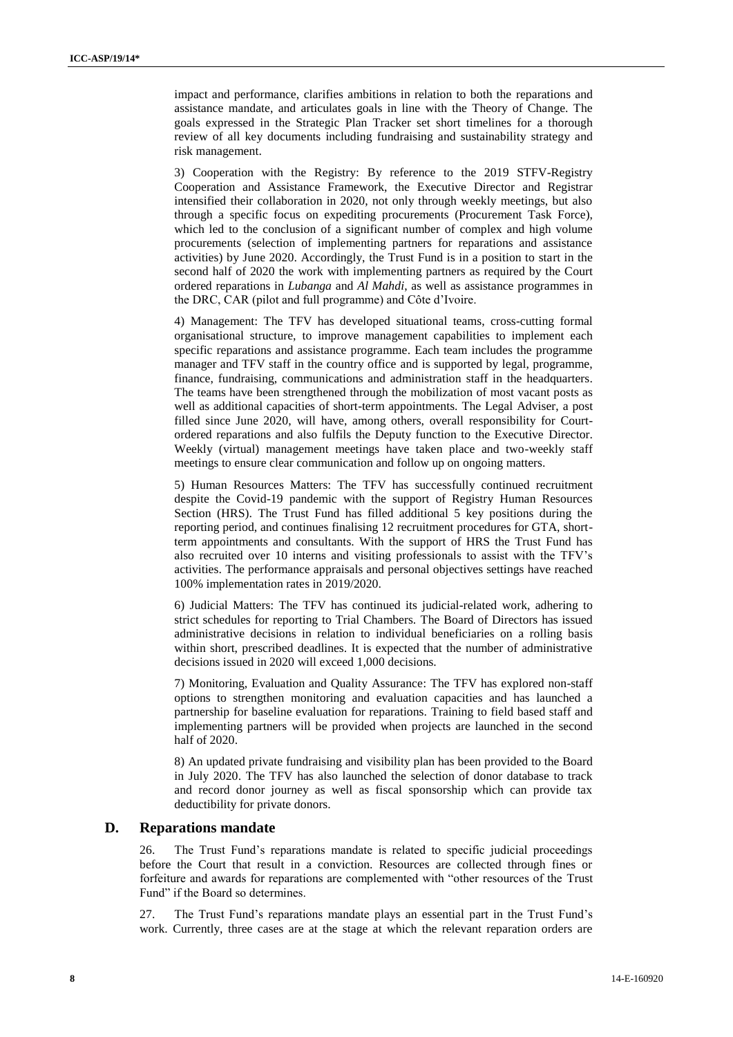impact and performance, clarifies ambitions in relation to both the reparations and assistance mandate, and articulates goals in line with the Theory of Change. The goals expressed in the Strategic Plan Tracker set short timelines for a thorough review of all key documents including fundraising and sustainability strategy and risk management.

3) Cooperation with the Registry: By reference to the 2019 STFV-Registry Cooperation and Assistance Framework, the Executive Director and Registrar intensified their collaboration in 2020, not only through weekly meetings, but also through a specific focus on expediting procurements (Procurement Task Force), which led to the conclusion of a significant number of complex and high volume procurements (selection of implementing partners for reparations and assistance activities) by June 2020. Accordingly, the Trust Fund is in a position to start in the second half of 2020 the work with implementing partners as required by the Court ordered reparations in *Lubanga* and *Al Mahdi*, as well as assistance programmes in the DRC, CAR (pilot and full programme) and Côte d'Ivoire.

4) Management: The TFV has developed situational teams, cross-cutting formal organisational structure, to improve management capabilities to implement each specific reparations and assistance programme. Each team includes the programme manager and TFV staff in the country office and is supported by legal, programme, finance, fundraising, communications and administration staff in the headquarters. The teams have been strengthened through the mobilization of most vacant posts as well as additional capacities of short-term appointments. The Legal Adviser, a post filled since June 2020, will have, among others, overall responsibility for Courtordered reparations and also fulfils the Deputy function to the Executive Director. Weekly (virtual) management meetings have taken place and two-weekly staff meetings to ensure clear communication and follow up on ongoing matters.

5) Human Resources Matters: The TFV has successfully continued recruitment despite the Covid-19 pandemic with the support of Registry Human Resources Section (HRS). The Trust Fund has filled additional 5 key positions during the reporting period, and continues finalising 12 recruitment procedures for GTA, shortterm appointments and consultants. With the support of HRS the Trust Fund has also recruited over 10 interns and visiting professionals to assist with the TFV's activities. The performance appraisals and personal objectives settings have reached 100% implementation rates in 2019/2020.

6) Judicial Matters: The TFV has continued its judicial-related work, adhering to strict schedules for reporting to Trial Chambers. The Board of Directors has issued administrative decisions in relation to individual beneficiaries on a rolling basis within short, prescribed deadlines. It is expected that the number of administrative decisions issued in 2020 will exceed 1,000 decisions.

7) Monitoring, Evaluation and Quality Assurance: The TFV has explored non-staff options to strengthen monitoring and evaluation capacities and has launched a partnership for baseline evaluation for reparations. Training to field based staff and implementing partners will be provided when projects are launched in the second half of 2020.

8) An updated private fundraising and visibility plan has been provided to the Board in July 2020. The TFV has also launched the selection of donor database to track and record donor journey as well as fiscal sponsorship which can provide tax deductibility for private donors.

#### **D. Reparations mandate**

26. The Trust Fund's reparations mandate is related to specific judicial proceedings before the Court that result in a conviction. Resources are collected through fines or forfeiture and awards for reparations are complemented with "other resources of the Trust Fund" if the Board so determines.

27. The Trust Fund's reparations mandate plays an essential part in the Trust Fund's work. Currently, three cases are at the stage at which the relevant reparation orders are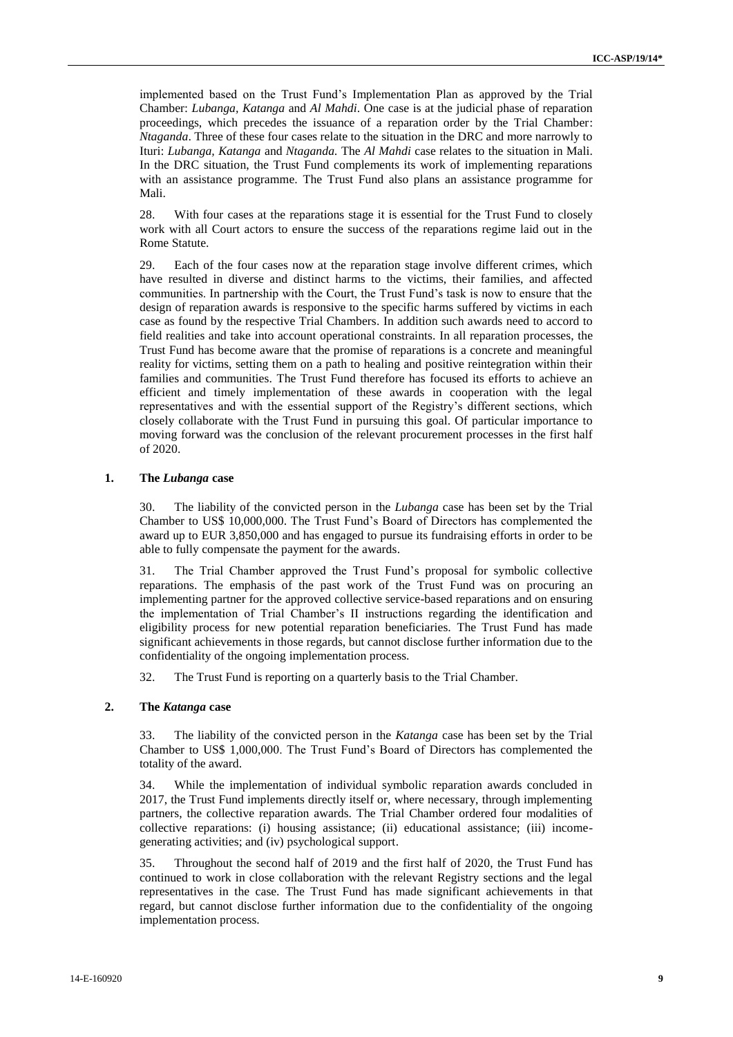implemented based on the Trust Fund's Implementation Plan as approved by the Trial Chamber: *Lubanga, Katanga* and *Al Mahdi*. One case is at the judicial phase of reparation proceedings, which precedes the issuance of a reparation order by the Trial Chamber: *Ntaganda*. Three of these four cases relate to the situation in the DRC and more narrowly to Ituri: *Lubanga, Katanga* and *Ntaganda.* The *Al Mahdi* case relates to the situation in Mali. In the DRC situation, the Trust Fund complements its work of implementing reparations with an assistance programme. The Trust Fund also plans an assistance programme for Mali.

28. With four cases at the reparations stage it is essential for the Trust Fund to closely work with all Court actors to ensure the success of the reparations regime laid out in the Rome Statute.

29. Each of the four cases now at the reparation stage involve different crimes, which have resulted in diverse and distinct harms to the victims, their families, and affected communities. In partnership with the Court, the Trust Fund's task is now to ensure that the design of reparation awards is responsive to the specific harms suffered by victims in each case as found by the respective Trial Chambers. In addition such awards need to accord to field realities and take into account operational constraints. In all reparation processes, the Trust Fund has become aware that the promise of reparations is a concrete and meaningful reality for victims, setting them on a path to healing and positive reintegration within their families and communities. The Trust Fund therefore has focused its efforts to achieve an efficient and timely implementation of these awards in cooperation with the legal representatives and with the essential support of the Registry's different sections, which closely collaborate with the Trust Fund in pursuing this goal. Of particular importance to moving forward was the conclusion of the relevant procurement processes in the first half of 2020.

#### **1. The** *Lubanga* **case**

30. The liability of the convicted person in the *Lubanga* case has been set by the Trial Chamber to US\$ 10,000,000. The Trust Fund's Board of Directors has complemented the award up to EUR 3,850,000 and has engaged to pursue its fundraising efforts in order to be able to fully compensate the payment for the awards.

31. The Trial Chamber approved the Trust Fund's proposal for symbolic collective reparations. The emphasis of the past work of the Trust Fund was on procuring an implementing partner for the approved collective service-based reparations and on ensuring the implementation of Trial Chamber's II instructions regarding the identification and eligibility process for new potential reparation beneficiaries. The Trust Fund has made significant achievements in those regards, but cannot disclose further information due to the confidentiality of the ongoing implementation process.

32. The Trust Fund is reporting on a quarterly basis to the Trial Chamber.

#### **2. The** *Katanga* **case**

33. The liability of the convicted person in the *Katanga* case has been set by the Trial Chamber to US\$ 1,000,000. The Trust Fund's Board of Directors has complemented the totality of the award.

34. While the implementation of individual symbolic reparation awards concluded in 2017, the Trust Fund implements directly itself or, where necessary, through implementing partners, the collective reparation awards. The Trial Chamber ordered four modalities of collective reparations: (i) housing assistance; (ii) educational assistance; (iii) incomegenerating activities; and (iv) psychological support.

35. Throughout the second half of 2019 and the first half of 2020, the Trust Fund has continued to work in close collaboration with the relevant Registry sections and the legal representatives in the case. The Trust Fund has made significant achievements in that regard, but cannot disclose further information due to the confidentiality of the ongoing implementation process.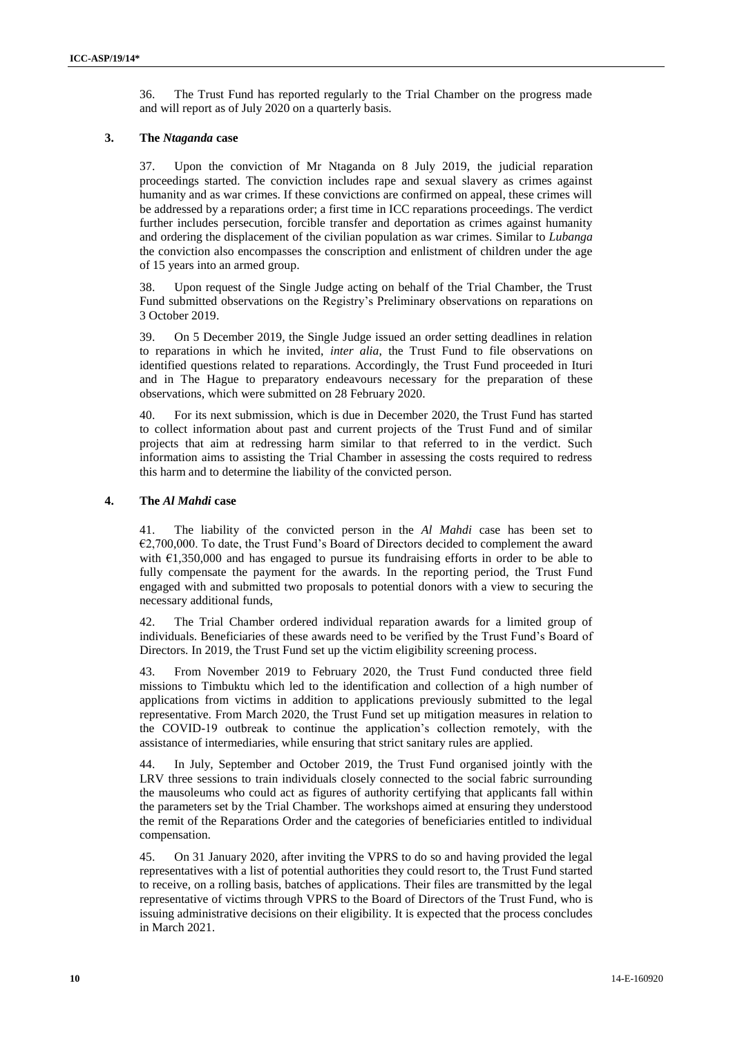36. The Trust Fund has reported regularly to the Trial Chamber on the progress made and will report as of July 2020 on a quarterly basis.

#### **3. The** *Ntaganda* **case**

37. Upon the conviction of Mr Ntaganda on 8 July 2019, the judicial reparation proceedings started. The conviction includes rape and sexual slavery as crimes against humanity and as war crimes. If these convictions are confirmed on appeal, these crimes will be addressed by a reparations order; a first time in ICC reparations proceedings. The verdict further includes persecution, forcible transfer and deportation as crimes against humanity and ordering the displacement of the civilian population as war crimes. Similar to *Lubanga*  the conviction also encompasses the conscription and enlistment of children under the age of 15 years into an armed group.

38. Upon request of the Single Judge acting on behalf of the Trial Chamber, the Trust Fund submitted observations on the Registry's Preliminary observations on reparations on 3 October 2019.

39. On 5 December 2019, the Single Judge issued an order setting deadlines in relation to reparations in which he invited, *inter alia*, the Trust Fund to file observations on identified questions related to reparations. Accordingly, the Trust Fund proceeded in Ituri and in The Hague to preparatory endeavours necessary for the preparation of these observations, which were submitted on 28 February 2020.

40. For its next submission, which is due in December 2020, the Trust Fund has started to collect information about past and current projects of the Trust Fund and of similar projects that aim at redressing harm similar to that referred to in the verdict. Such information aims to assisting the Trial Chamber in assessing the costs required to redress this harm and to determine the liability of the convicted person.

#### **4. The** *Al Mahdi* **case**

41. The liability of the convicted person in the *Al Mahdi* case has been set to  $\epsilon$ 2,700,000. To date, the Trust Fund's Board of Directors decided to complement the award with €1,350,000 and has engaged to pursue its fundraising efforts in order to be able to fully compensate the payment for the awards. In the reporting period, the Trust Fund engaged with and submitted two proposals to potential donors with a view to securing the necessary additional funds,

42. The Trial Chamber ordered individual reparation awards for a limited group of individuals. Beneficiaries of these awards need to be verified by the Trust Fund's Board of Directors. In 2019, the Trust Fund set up the victim eligibility screening process.

43. From November 2019 to February 2020, the Trust Fund conducted three field missions to Timbuktu which led to the identification and collection of a high number of applications from victims in addition to applications previously submitted to the legal representative. From March 2020, the Trust Fund set up mitigation measures in relation to the COVID-19 outbreak to continue the application's collection remotely, with the assistance of intermediaries, while ensuring that strict sanitary rules are applied.

In July, September and October 2019, the Trust Fund organised jointly with the LRV three sessions to train individuals closely connected to the social fabric surrounding the mausoleums who could act as figures of authority certifying that applicants fall within the parameters set by the Trial Chamber. The workshops aimed at ensuring they understood the remit of the Reparations Order and the categories of beneficiaries entitled to individual compensation.

45. On 31 January 2020, after inviting the VPRS to do so and having provided the legal representatives with a list of potential authorities they could resort to, the Trust Fund started to receive, on a rolling basis, batches of applications. Their files are transmitted by the legal representative of victims through VPRS to the Board of Directors of the Trust Fund, who is issuing administrative decisions on their eligibility. It is expected that the process concludes in March 2021.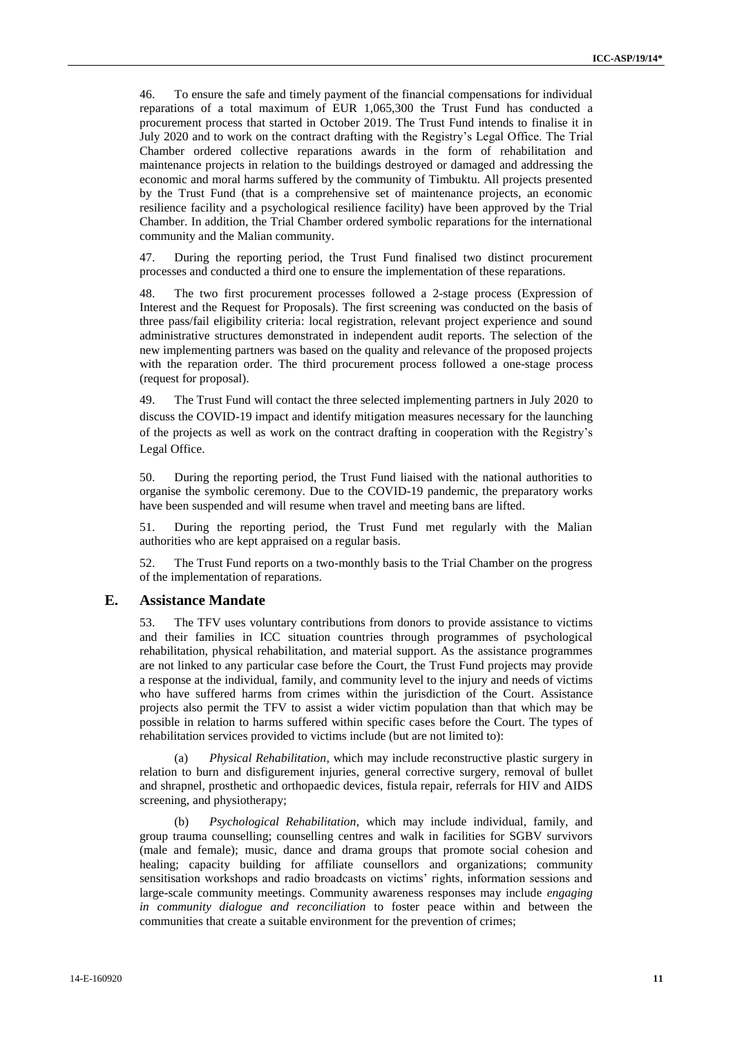46. To ensure the safe and timely payment of the financial compensations for individual reparations of a total maximum of EUR 1,065,300 the Trust Fund has conducted a procurement process that started in October 2019. The Trust Fund intends to finalise it in July 2020 and to work on the contract drafting with the Registry's Legal Office. The Trial Chamber ordered collective reparations awards in the form of rehabilitation and maintenance projects in relation to the buildings destroyed or damaged and addressing the economic and moral harms suffered by the community of Timbuktu. All projects presented by the Trust Fund (that is a comprehensive set of maintenance projects, an economic resilience facility and a psychological resilience facility) have been approved by the Trial Chamber. In addition, the Trial Chamber ordered symbolic reparations for the international community and the Malian community.

47. During the reporting period, the Trust Fund finalised two distinct procurement processes and conducted a third one to ensure the implementation of these reparations.

48. The two first procurement processes followed a 2-stage process (Expression of Interest and the Request for Proposals). The first screening was conducted on the basis of three pass/fail eligibility criteria: local registration, relevant project experience and sound administrative structures demonstrated in independent audit reports. The selection of the new implementing partners was based on the quality and relevance of the proposed projects with the reparation order. The third procurement process followed a one-stage process (request for proposal).

49. The Trust Fund will contact the three selected implementing partners in July 2020 to discuss the COVID-19 impact and identify mitigation measures necessary for the launching of the projects as well as work on the contract drafting in cooperation with the Registry's Legal Office.

50. During the reporting period, the Trust Fund liaised with the national authorities to organise the symbolic ceremony. Due to the COVID-19 pandemic, the preparatory works have been suspended and will resume when travel and meeting bans are lifted.

51. During the reporting period, the Trust Fund met regularly with the Malian authorities who are kept appraised on a regular basis.

52. The Trust Fund reports on a two-monthly basis to the Trial Chamber on the progress of the implementation of reparations.

## **E. Assistance Mandate**

53. The TFV uses voluntary contributions from donors to provide assistance to victims and their families in ICC situation countries through programmes of psychological rehabilitation, physical rehabilitation, and material support. As the assistance programmes are not linked to any particular case before the Court, the Trust Fund projects may provide a response at the individual, family, and community level to the injury and needs of victims who have suffered harms from crimes within the jurisdiction of the Court. Assistance projects also permit the TFV to assist a wider victim population than that which may be possible in relation to harms suffered within specific cases before the Court. The types of rehabilitation services provided to victims include (but are not limited to):

(a) *Physical Rehabilitation*, which may include reconstructive plastic surgery in relation to burn and disfigurement injuries, general corrective surgery, removal of bullet and shrapnel, prosthetic and orthopaedic devices, fistula repair, referrals for HIV and AIDS screening, and physiotherapy;

(b) *Psychological Rehabilitation*, which may include individual, family, and group trauma counselling; counselling centres and walk in facilities for SGBV survivors (male and female); music, dance and drama groups that promote social cohesion and healing; capacity building for affiliate counsellors and organizations; community sensitisation workshops and radio broadcasts on victims' rights, information sessions and large-scale community meetings. Community awareness responses may include *engaging in community dialogue and reconciliation* to foster peace within and between the communities that create a suitable environment for the prevention of crimes;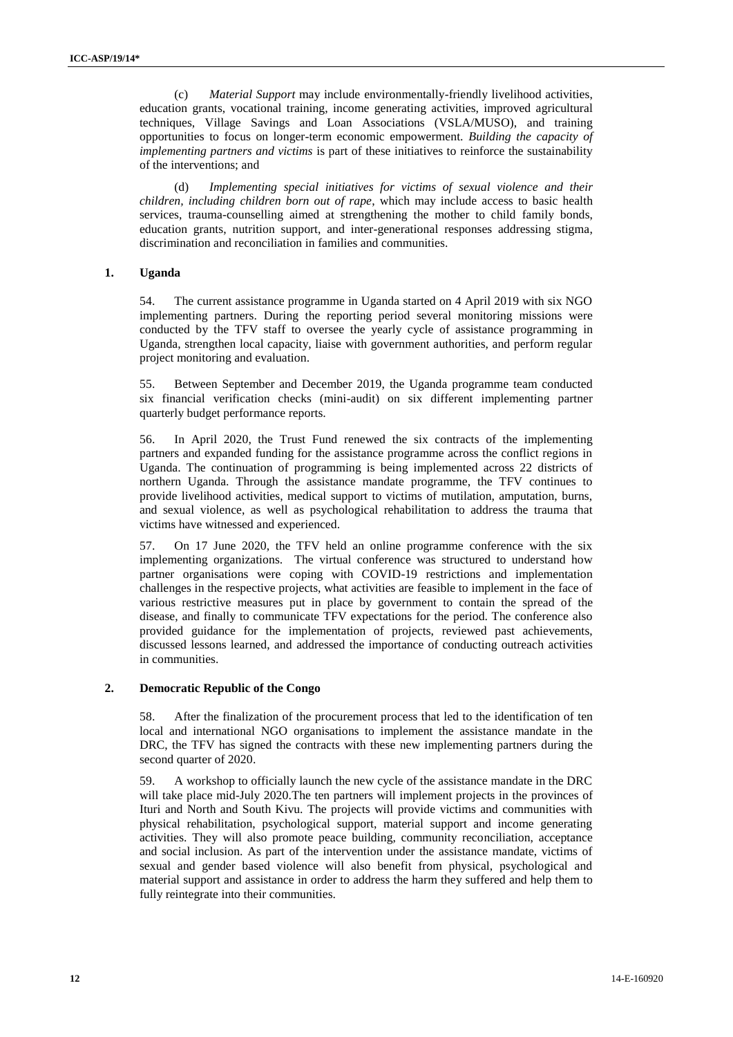(c) *Material Support* may include environmentally-friendly livelihood activities, education grants, vocational training, income generating activities, improved agricultural techniques, Village Savings and Loan Associations (VSLA/MUSO), and training opportunities to focus on longer-term economic empowerment. *Building the capacity of implementing partners and victims* is part of these initiatives to reinforce the sustainability of the interventions; and

(d) *Implementing special initiatives for victims of sexual violence and their children, including children born out of rape*, which may include access to basic health services, trauma-counselling aimed at strengthening the mother to child family bonds, education grants, nutrition support, and inter-generational responses addressing stigma, discrimination and reconciliation in families and communities.

#### **1. Uganda**

54. The current assistance programme in Uganda started on 4 April 2019 with six NGO implementing partners. During the reporting period several monitoring missions were conducted by the TFV staff to oversee the yearly cycle of assistance programming in Uganda, strengthen local capacity, liaise with government authorities, and perform regular project monitoring and evaluation.

55. Between September and December 2019, the Uganda programme team conducted six financial verification checks (mini-audit) on six different implementing partner quarterly budget performance reports.

56. In April 2020, the Trust Fund renewed the six contracts of the implementing partners and expanded funding for the assistance programme across the conflict regions in Uganda. The continuation of programming is being implemented across 22 districts of northern Uganda. Through the assistance mandate programme, the TFV continues to provide livelihood activities, medical support to victims of mutilation, amputation, burns, and sexual violence, as well as psychological rehabilitation to address the trauma that victims have witnessed and experienced.

57. On 17 June 2020, the TFV held an online programme conference with the six implementing organizations. The virtual conference was structured to understand how partner organisations were coping with COVID-19 restrictions and implementation challenges in the respective projects, what activities are feasible to implement in the face of various restrictive measures put in place by government to contain the spread of the disease, and finally to communicate TFV expectations for the period. The conference also provided guidance for the implementation of projects, reviewed past achievements, discussed lessons learned, and addressed the importance of conducting outreach activities in communities.

#### **2. Democratic Republic of the Congo**

58. After the finalization of the procurement process that led to the identification of ten local and international NGO organisations to implement the assistance mandate in the DRC, the TFV has signed the contracts with these new implementing partners during the second quarter of 2020.

59. A workshop to officially launch the new cycle of the assistance mandate in the DRC will take place mid-July 2020.The ten partners will implement projects in the provinces of Ituri and North and South Kivu. The projects will provide victims and communities with physical rehabilitation, psychological support, material support and income generating activities. They will also promote peace building, community reconciliation, acceptance and social inclusion. As part of the intervention under the assistance mandate, victims of sexual and gender based violence will also benefit from physical, psychological and material support and assistance in order to address the harm they suffered and help them to fully reintegrate into their communities.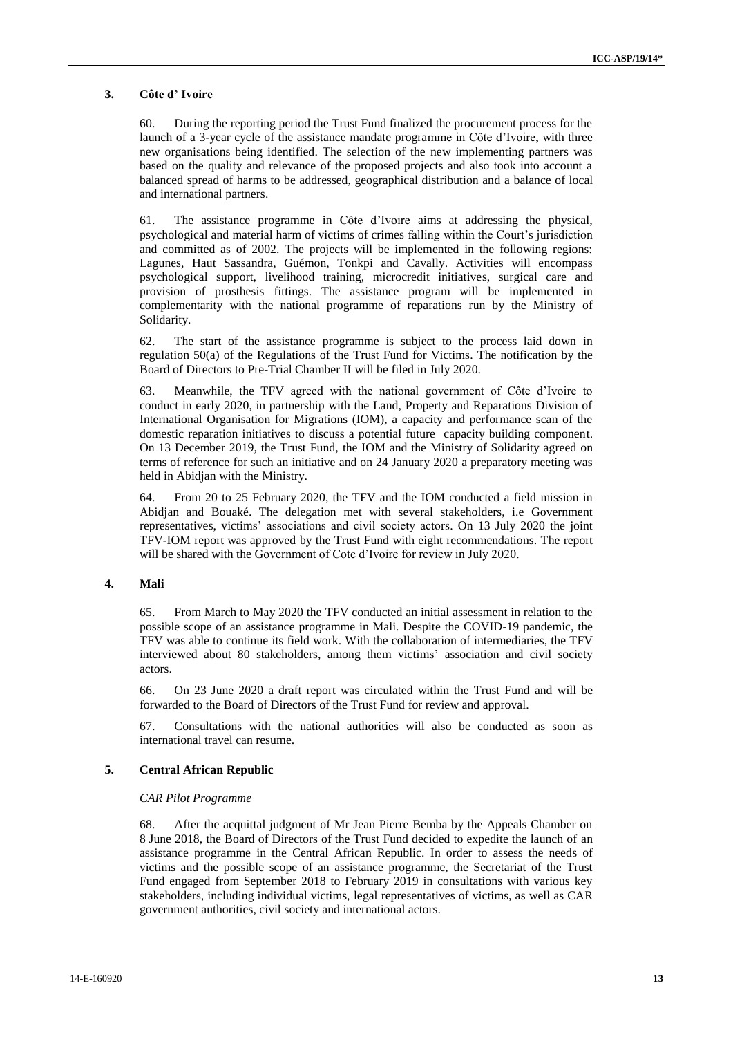#### **3. Côte d' Ivoire**

60. During the reporting period the Trust Fund finalized the procurement process for the launch of a 3-year cycle of the assistance mandate programme in Côte d'Ivoire, with three new organisations being identified. The selection of the new implementing partners was based on the quality and relevance of the proposed projects and also took into account a balanced spread of harms to be addressed, geographical distribution and a balance of local and international partners.

61. The assistance programme in Côte d'Ivoire aims at addressing the physical, psychological and material harm of victims of crimes falling within the Court's jurisdiction and committed as of 2002. The projects will be implemented in the following regions: Lagunes, Haut Sassandra, Guémon, Tonkpi and Cavally. Activities will encompass psychological support, livelihood training, microcredit initiatives, surgical care and provision of prosthesis fittings. The assistance program will be implemented in complementarity with the national programme of reparations run by the Ministry of Solidarity.

62. The start of the assistance programme is subject to the process laid down in regulation 50(a) of the Regulations of the Trust Fund for Victims. The notification by the Board of Directors to Pre-Trial Chamber II will be filed in July 2020.

63. Meanwhile, the TFV agreed with the national government of Côte d'Ivoire to conduct in early 2020, in partnership with the Land, Property and Reparations Division of International Organisation for Migrations (IOM), a capacity and performance scan of the domestic reparation initiatives to discuss a potential future capacity building component. On 13 December 2019, the Trust Fund, the IOM and the Ministry of Solidarity agreed on terms of reference for such an initiative and on 24 January 2020 a preparatory meeting was held in Abidjan with the Ministry.

64. From 20 to 25 February 2020, the TFV and the IOM conducted a field mission in Abidjan and Bouaké. The delegation met with several stakeholders, i.e Government representatives, victims' associations and civil society actors. On 13 July 2020 the joint TFV-IOM report was approved by the Trust Fund with eight recommendations. The report will be shared with the Government of Cote d'Ivoire for review in July 2020.

#### **4. Mali**

65. From March to May 2020 the TFV conducted an initial assessment in relation to the possible scope of an assistance programme in Mali. Despite the COVID-19 pandemic, the TFV was able to continue its field work. With the collaboration of intermediaries, the TFV interviewed about 80 stakeholders, among them victims' association and civil society actors.

66. On 23 June 2020 a draft report was circulated within the Trust Fund and will be forwarded to the Board of Directors of the Trust Fund for review and approval.

67. Consultations with the national authorities will also be conducted as soon as international travel can resume.

#### **5. Central African Republic**

#### *CAR Pilot Programme*

68. After the acquittal judgment of Mr Jean Pierre Bemba by the Appeals Chamber on 8 June 2018, the Board of Directors of the Trust Fund decided to expedite the launch of an assistance programme in the Central African Republic. In order to assess the needs of victims and the possible scope of an assistance programme, the Secretariat of the Trust Fund engaged from September 2018 to February 2019 in consultations with various key stakeholders, including individual victims, legal representatives of victims, as well as CAR government authorities, civil society and international actors.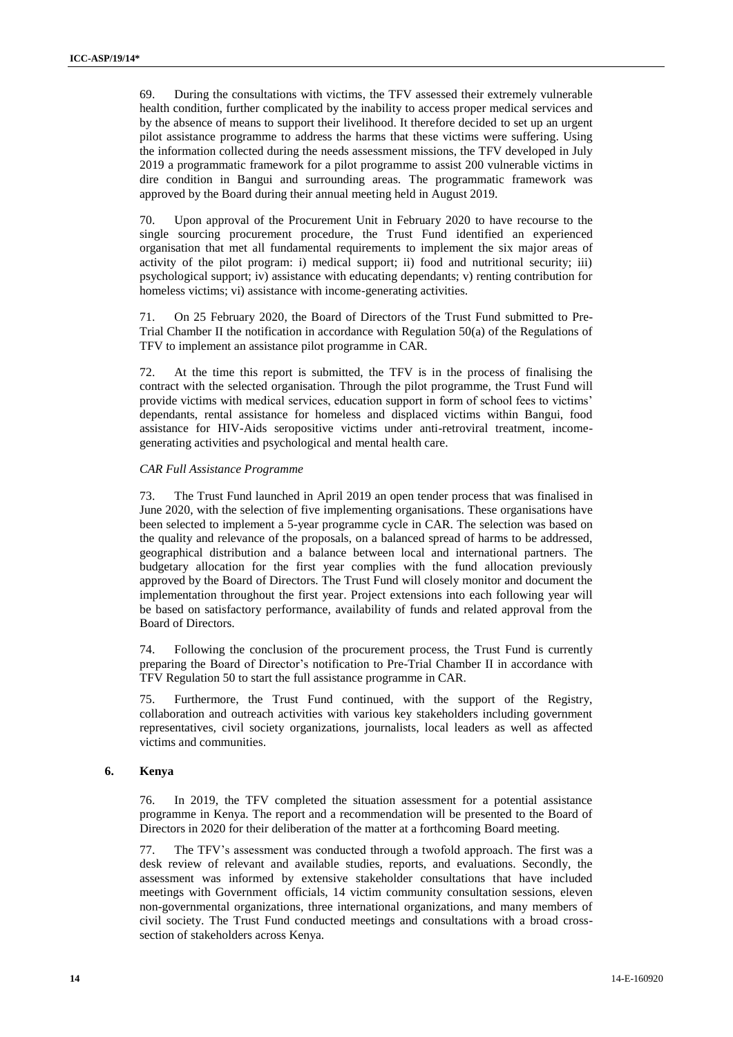69. During the consultations with victims, the TFV assessed their extremely vulnerable health condition, further complicated by the inability to access proper medical services and by the absence of means to support their livelihood. It therefore decided to set up an urgent pilot assistance programme to address the harms that these victims were suffering. Using the information collected during the needs assessment missions, the TFV developed in July 2019 a programmatic framework for a pilot programme to assist 200 vulnerable victims in dire condition in Bangui and surrounding areas. The programmatic framework was approved by the Board during their annual meeting held in August 2019.

70. Upon approval of the Procurement Unit in February 2020 to have recourse to the single sourcing procurement procedure, the Trust Fund identified an experienced organisation that met all fundamental requirements to implement the six major areas of activity of the pilot program: i) medical support; ii) food and nutritional security; iii) psychological support; iv) assistance with educating dependants; v) renting contribution for homeless victims; vi) assistance with income-generating activities.

71. On 25 February 2020, the Board of Directors of the Trust Fund submitted to Pre-Trial Chamber II the notification in accordance with Regulation 50(a) of the Regulations of TFV to implement an assistance pilot programme in CAR.

72. At the time this report is submitted, the TFV is in the process of finalising the contract with the selected organisation. Through the pilot programme, the Trust Fund will provide victims with medical services, education support in form of school fees to victims' dependants, rental assistance for homeless and displaced victims within Bangui, food assistance for HIV-Aids seropositive victims under anti-retroviral treatment, incomegenerating activities and psychological and mental health care.

#### *CAR Full Assistance Programme*

73. The Trust Fund launched in April 2019 an open tender process that was finalised in June 2020, with the selection of five implementing organisations. These organisations have been selected to implement a 5-year programme cycle in CAR. The selection was based on the quality and relevance of the proposals, on a balanced spread of harms to be addressed, geographical distribution and a balance between local and international partners. The budgetary allocation for the first year complies with the fund allocation previously approved by the Board of Directors. The Trust Fund will closely monitor and document the implementation throughout the first year. Project extensions into each following year will be based on satisfactory performance, availability of funds and related approval from the Board of Directors.

74. Following the conclusion of the procurement process, the Trust Fund is currently preparing the Board of Director's notification to Pre-Trial Chamber II in accordance with TFV Regulation 50 to start the full assistance programme in CAR.

75. Furthermore, the Trust Fund continued, with the support of the Registry, collaboration and outreach activities with various key stakeholders including government representatives, civil society organizations, journalists, local leaders as well as affected victims and communities.

#### **6. Kenya**

76. In 2019, the TFV completed the situation assessment for a potential assistance programme in Kenya. The report and a recommendation will be presented to the Board of Directors in 2020 for their deliberation of the matter at a forthcoming Board meeting.

77. The TFV's assessment was conducted through a twofold approach. The first was a desk review of relevant and available studies, reports, and evaluations. Secondly, the assessment was informed by extensive stakeholder consultations that have included meetings with Government officials, 14 victim community consultation sessions, eleven non-governmental organizations, three international organizations, and many members of civil society. The Trust Fund conducted meetings and consultations with a broad crosssection of stakeholders across Kenya.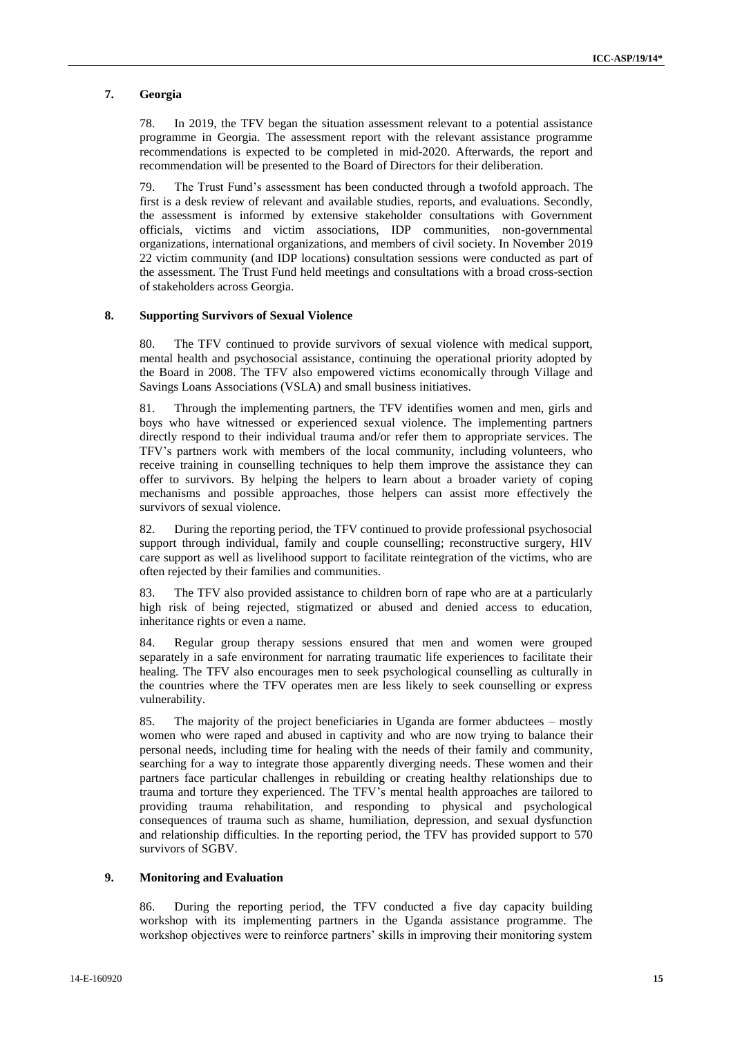#### **7. Georgia**

78. In 2019, the TFV began the situation assessment relevant to a potential assistance programme in Georgia. The assessment report with the relevant assistance programme recommendations is expected to be completed in mid-2020. Afterwards, the report and recommendation will be presented to the Board of Directors for their deliberation.

79. The Trust Fund's assessment has been conducted through a twofold approach. The first is a desk review of relevant and available studies, reports, and evaluations. Secondly, the assessment is informed by extensive stakeholder consultations with Government officials, victims and victim associations, IDP communities, non-governmental organizations, international organizations, and members of civil society. In November 2019 22 victim community (and IDP locations) consultation sessions were conducted as part of the assessment. The Trust Fund held meetings and consultations with a broad cross-section of stakeholders across Georgia.

#### **8. Supporting Survivors of Sexual Violence**

80. The TFV continued to provide survivors of sexual violence with medical support, mental health and psychosocial assistance, continuing the operational priority adopted by the Board in 2008. The TFV also empowered victims economically through Village and Savings Loans Associations (VSLA) and small business initiatives.

81. Through the implementing partners, the TFV identifies women and men, girls and boys who have witnessed or experienced sexual violence. The implementing partners directly respond to their individual trauma and/or refer them to appropriate services. The TFV's partners work with members of the local community, including volunteers, who receive training in counselling techniques to help them improve the assistance they can offer to survivors. By helping the helpers to learn about a broader variety of coping mechanisms and possible approaches, those helpers can assist more effectively the survivors of sexual violence.

82. During the reporting period, the TFV continued to provide professional psychosocial support through individual, family and couple counselling; reconstructive surgery, HIV care support as well as livelihood support to facilitate reintegration of the victims, who are often rejected by their families and communities.

83. The TFV also provided assistance to children born of rape who are at a particularly high risk of being rejected, stigmatized or abused and denied access to education, inheritance rights or even a name.

84. Regular group therapy sessions ensured that men and women were grouped separately in a safe environment for narrating traumatic life experiences to facilitate their healing. The TFV also encourages men to seek psychological counselling as culturally in the countries where the TFV operates men are less likely to seek counselling or express vulnerability.

85. The majority of the project beneficiaries in Uganda are former abductees – mostly women who were raped and abused in captivity and who are now trying to balance their personal needs, including time for healing with the needs of their family and community, searching for a way to integrate those apparently diverging needs. These women and their partners face particular challenges in rebuilding or creating healthy relationships due to trauma and torture they experienced. The TFV's mental health approaches are tailored to providing trauma rehabilitation, and responding to physical and psychological consequences of trauma such as shame, humiliation, depression, and sexual dysfunction and relationship difficulties. In the reporting period, the TFV has provided support to 570 survivors of SGBV.

#### **9. Monitoring and Evaluation**

86. During the reporting period, the TFV conducted a five day capacity building workshop with its implementing partners in the Uganda assistance programme. The workshop objectives were to reinforce partners' skills in improving their monitoring system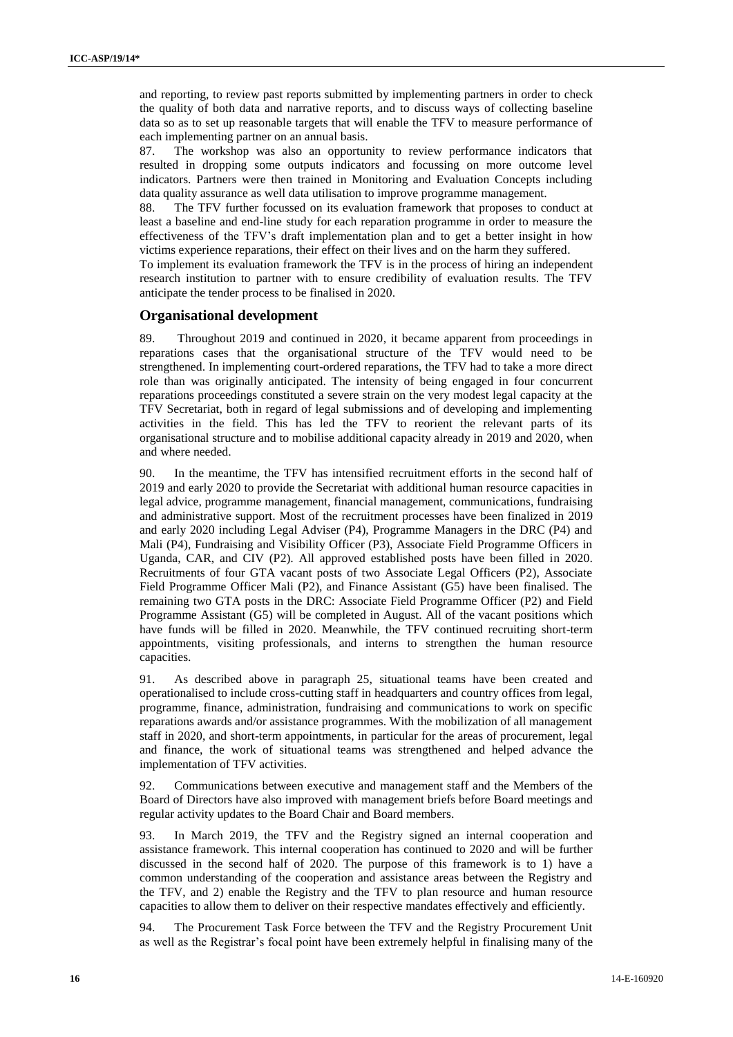and reporting, to review past reports submitted by implementing partners in order to check the quality of both data and narrative reports, and to discuss ways of collecting baseline data so as to set up reasonable targets that will enable the TFV to measure performance of each implementing partner on an annual basis.

87. The workshop was also an opportunity to review performance indicators that resulted in dropping some outputs indicators and focussing on more outcome level indicators. Partners were then trained in Monitoring and Evaluation Concepts including data quality assurance as well data utilisation to improve programme management.

88. The TFV further focussed on its evaluation framework that proposes to conduct at least a baseline and end-line study for each reparation programme in order to measure the effectiveness of the TFV's draft implementation plan and to get a better insight in how victims experience reparations, their effect on their lives and on the harm they suffered.

To implement its evaluation framework the TFV is in the process of hiring an independent research institution to partner with to ensure credibility of evaluation results. The TFV anticipate the tender process to be finalised in 2020.

#### **Organisational development**

89. Throughout 2019 and continued in 2020, it became apparent from proceedings in reparations cases that the organisational structure of the TFV would need to be strengthened. In implementing court-ordered reparations, the TFV had to take a more direct role than was originally anticipated. The intensity of being engaged in four concurrent reparations proceedings constituted a severe strain on the very modest legal capacity at the TFV Secretariat, both in regard of legal submissions and of developing and implementing activities in the field. This has led the TFV to reorient the relevant parts of its organisational structure and to mobilise additional capacity already in 2019 and 2020, when and where needed.

90. In the meantime, the TFV has intensified recruitment efforts in the second half of 2019 and early 2020 to provide the Secretariat with additional human resource capacities in legal advice, programme management, financial management, communications, fundraising and administrative support. Most of the recruitment processes have been finalized in 2019 and early 2020 including Legal Adviser (P4), Programme Managers in the DRC (P4) and Mali (P4), Fundraising and Visibility Officer (P3), Associate Field Programme Officers in Uganda, CAR, and CIV (P2). All approved established posts have been filled in 2020. Recruitments of four GTA vacant posts of two Associate Legal Officers (P2), Associate Field Programme Officer Mali (P2), and Finance Assistant (G5) have been finalised. The remaining two GTA posts in the DRC: Associate Field Programme Officer (P2) and Field Programme Assistant (G5) will be completed in August. All of the vacant positions which have funds will be filled in 2020. Meanwhile, the TFV continued recruiting short-term appointments, visiting professionals, and interns to strengthen the human resource capacities.

91. As described above in paragraph 25, situational teams have been created and operationalised to include cross-cutting staff in headquarters and country offices from legal, programme, finance, administration, fundraising and communications to work on specific reparations awards and/or assistance programmes. With the mobilization of all management staff in 2020, and short-term appointments, in particular for the areas of procurement, legal and finance, the work of situational teams was strengthened and helped advance the implementation of TFV activities.

92. Communications between executive and management staff and the Members of the Board of Directors have also improved with management briefs before Board meetings and regular activity updates to the Board Chair and Board members.

93. In March 2019, the TFV and the Registry signed an internal cooperation and assistance framework. This internal cooperation has continued to 2020 and will be further discussed in the second half of 2020. The purpose of this framework is to 1) have a common understanding of the cooperation and assistance areas between the Registry and the TFV, and 2) enable the Registry and the TFV to plan resource and human resource capacities to allow them to deliver on their respective mandates effectively and efficiently.

94. The Procurement Task Force between the TFV and the Registry Procurement Unit as well as the Registrar's focal point have been extremely helpful in finalising many of the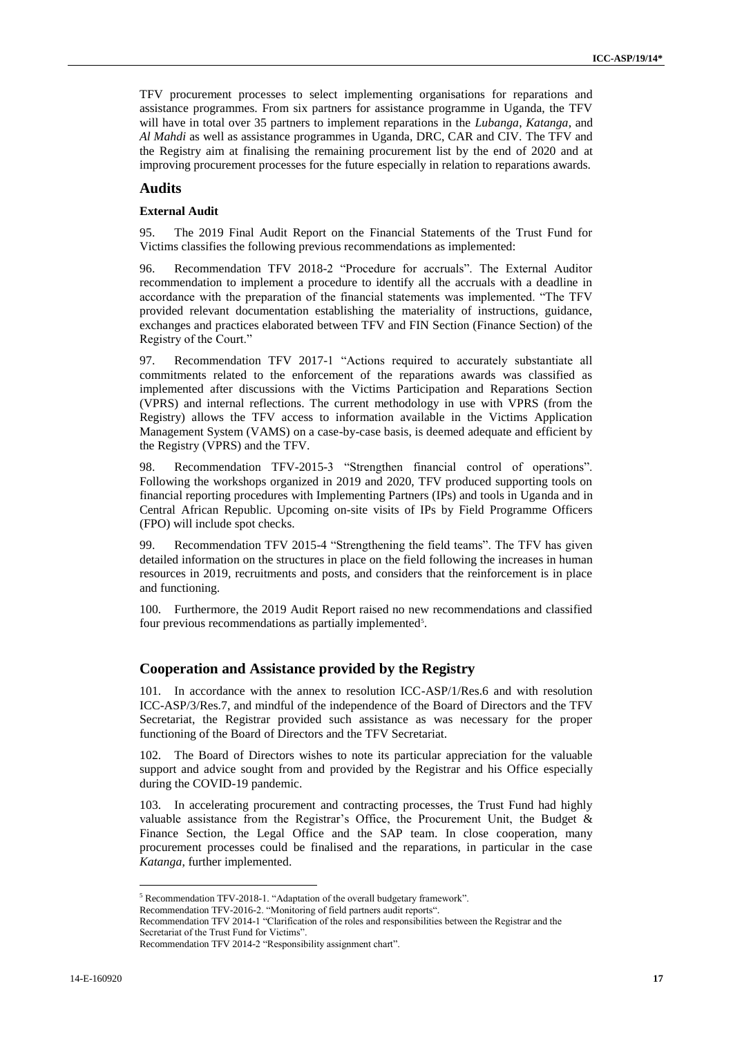TFV procurement processes to select implementing organisations for reparations and assistance programmes. From six partners for assistance programme in Uganda, the TFV will have in total over 35 partners to implement reparations in the *Lubanga*, *Katanga*, and *Al Mahdi* as well as assistance programmes in Uganda, DRC, CAR and CIV. The TFV and the Registry aim at finalising the remaining procurement list by the end of 2020 and at improving procurement processes for the future especially in relation to reparations awards.

## **Audits**

#### **External Audit**

95. The 2019 Final Audit Report on the Financial Statements of the Trust Fund for Victims classifies the following previous recommendations as implemented:

96. Recommendation TFV 2018-2 "Procedure for accruals". The External Auditor recommendation to implement a procedure to identify all the accruals with a deadline in accordance with the preparation of the financial statements was implemented. "The TFV provided relevant documentation establishing the materiality of instructions, guidance, exchanges and practices elaborated between TFV and FIN Section (Finance Section) of the Registry of the Court."

97. Recommendation TFV 2017-1 "Actions required to accurately substantiate all commitments related to the enforcement of the reparations awards was classified as implemented after discussions with the Victims Participation and Reparations Section (VPRS) and internal reflections. The current methodology in use with VPRS (from the Registry) allows the TFV access to information available in the Victims Application Management System (VAMS) on a case-by-case basis, is deemed adequate and efficient by the Registry (VPRS) and the TFV.

98. Recommendation TFV-2015-3 "Strengthen financial control of operations". Following the workshops organized in 2019 and 2020, TFV produced supporting tools on financial reporting procedures with Implementing Partners (IPs) and tools in Uganda and in Central African Republic. Upcoming on-site visits of IPs by Field Programme Officers (FPO) will include spot checks.

99. Recommendation TFV 2015-4 "Strengthening the field teams". The TFV has given detailed information on the structures in place on the field following the increases in human resources in 2019, recruitments and posts, and considers that the reinforcement is in place and functioning.

100. Furthermore, the 2019 Audit Report raised no new recommendations and classified four previous recommendations as partially implemented<sup>5</sup>.

## **Cooperation and Assistance provided by the Registry**

101. In accordance with the annex to resolution ICC-ASP/1/Res.6 and with resolution ICC-ASP/3/Res.7, and mindful of the independence of the Board of Directors and the TFV Secretariat, the Registrar provided such assistance as was necessary for the proper functioning of the Board of Directors and the TFV Secretariat.

102. The Board of Directors wishes to note its particular appreciation for the valuable support and advice sought from and provided by the Registrar and his Office especially during the COVID-19 pandemic.

103. In accelerating procurement and contracting processes, the Trust Fund had highly valuable assistance from the Registrar's Office, the Procurement Unit, the Budget & Finance Section, the Legal Office and the SAP team. In close cooperation, many procurement processes could be finalised and the reparations, in particular in the case *Katanga*, further implemented.

 $\overline{a}$ 

<sup>5</sup> Recommendation TFV-2018-1. "Adaptation of the overall budgetary framework".

Recommendation TFV-2016-2. "Monitoring of field partners audit reports".

Recommendation TFV 2014-1 "Clarification of the roles and responsibilities between the Registrar and the Secretariat of the Trust Fund for Victims".

Recommendation TFV 2014-2 "Responsibility assignment chart".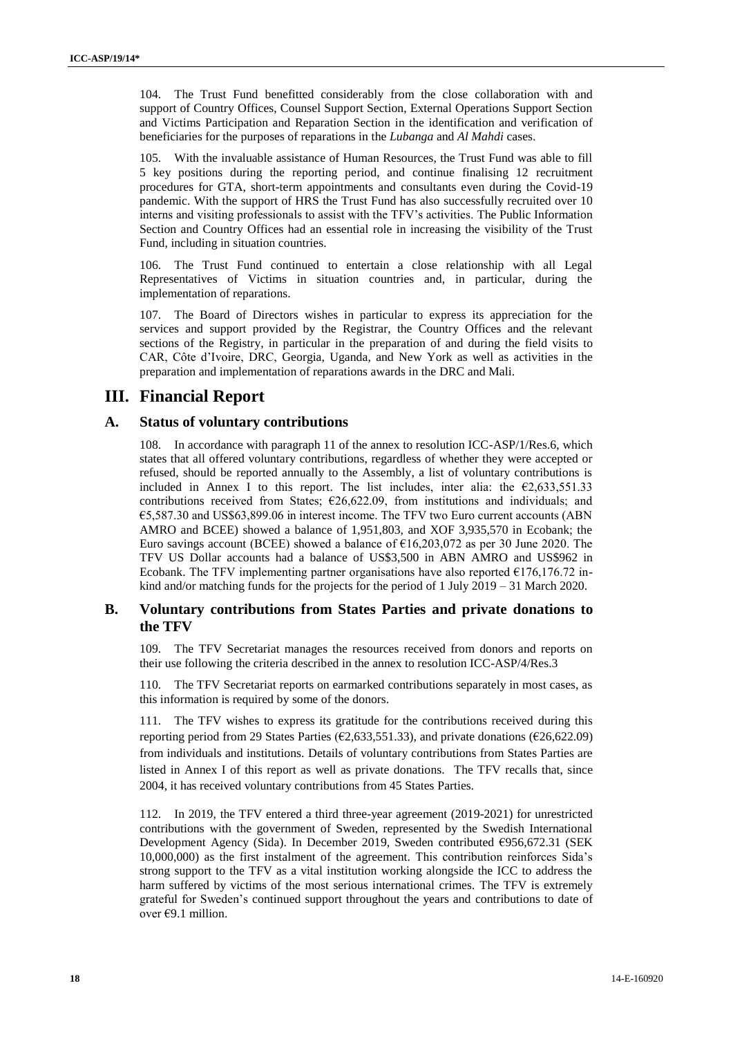104. The Trust Fund benefitted considerably from the close collaboration with and support of Country Offices, Counsel Support Section, External Operations Support Section and Victims Participation and Reparation Section in the identification and verification of beneficiaries for the purposes of reparations in the *Lubanga* and *Al Mahdi* cases.

105. With the invaluable assistance of Human Resources, the Trust Fund was able to fill 5 key positions during the reporting period, and continue finalising 12 recruitment procedures for GTA, short-term appointments and consultants even during the Covid-19 pandemic. With the support of HRS the Trust Fund has also successfully recruited over 10 interns and visiting professionals to assist with the TFV's activities. The Public Information Section and Country Offices had an essential role in increasing the visibility of the Trust Fund, including in situation countries.

106. The Trust Fund continued to entertain a close relationship with all Legal Representatives of Victims in situation countries and, in particular, during the implementation of reparations.

107. The Board of Directors wishes in particular to express its appreciation for the services and support provided by the Registrar, the Country Offices and the relevant sections of the Registry, in particular in the preparation of and during the field visits to CAR, Côte d'Ivoire, DRC, Georgia, Uganda, and New York as well as activities in the preparation and implementation of reparations awards in the DRC and Mali.

## **III. Financial Report**

#### **A. Status of voluntary contributions**

108. In accordance with paragraph 11 of the annex to resolution ICC-ASP/1/Res.6, which states that all offered voluntary contributions, regardless of whether they were accepted or refused, should be reported annually to the Assembly, a list of voluntary contributions is included in Annex I to this report. The list includes, inter alia: the  $\epsilon$ 2,633,551.33 contributions received from States;  $\epsilon$ 26,622.09, from institutions and individuals; and €5,587.30 and US\$63,899.06 in interest income. The TFV two Euro current accounts (ABN AMRO and BCEE) showed a balance of 1,951,803, and XOF 3,935,570 in Ecobank; the Euro savings account (BCEE) showed a balance of  $\epsilon$ 16,203,072 as per 30 June 2020. The TFV US Dollar accounts had a balance of US\$3,500 in ABN AMRO and US\$962 in Ecobank. The TFV implementing partner organisations have also reported  $E176,176.72$  inkind and/or matching funds for the projects for the period of 1 July 2019 – 31 March 2020.

## **B. Voluntary contributions from States Parties and private donations to the TFV**

109. The TFV Secretariat manages the resources received from donors and reports on their use following the criteria described in the annex to resolution ICC-ASP/4/Res.3

110. The TFV Secretariat reports on earmarked contributions separately in most cases, as this information is required by some of the donors.

111. The TFV wishes to express its gratitude for the contributions received during this reporting period from 29 States Parties ( $\epsilon$ 2,633,551.33), and private donations ( $\epsilon$ 26,622.09) from individuals and institutions. Details of voluntary contributions from States Parties are listed in Annex I of this report as well as private donations. The TFV recalls that, since 2004, it has received voluntary contributions from 45 States Parties.

112. In 2019, the TFV entered a third three-year agreement (2019-2021) for unrestricted contributions with the government of Sweden, represented by the Swedish International Development Agency (Sida). In December 2019, Sweden contributed €956,672.31 (SEK 10,000,000) as the first instalment of the agreement. This contribution reinforces Sida's strong support to the TFV as a vital institution working alongside the ICC to address the harm suffered by victims of the most serious international crimes. The TFV is extremely grateful for Sweden's continued support throughout the years and contributions to date of over €9.1 million.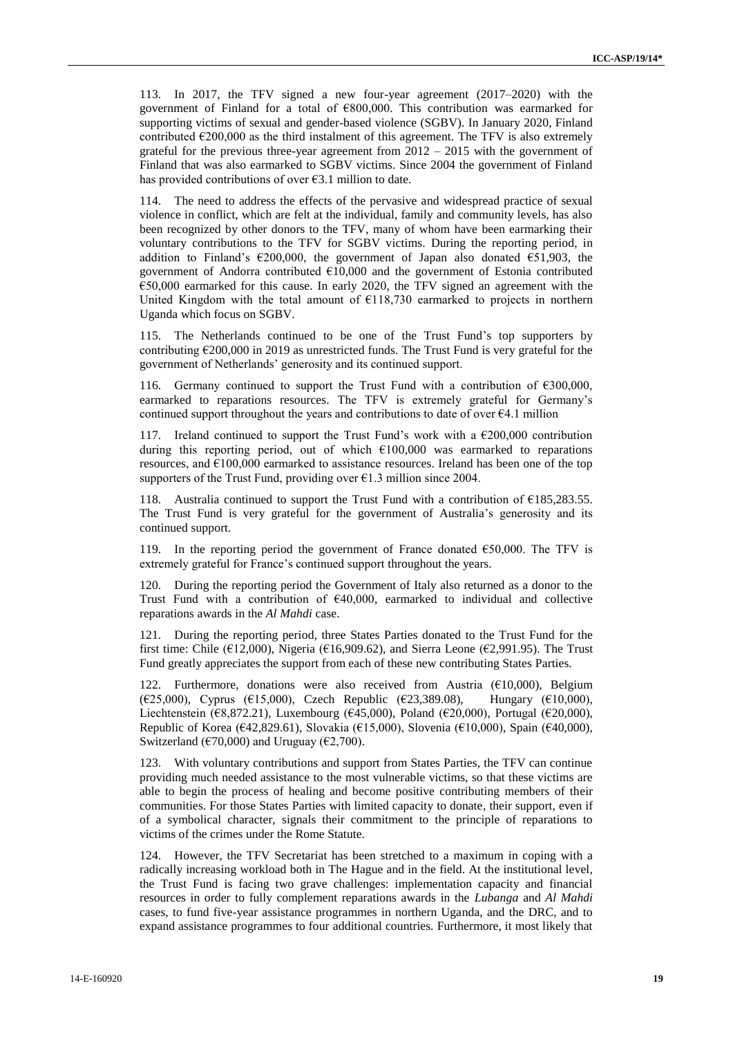113. In 2017, the TFV signed a new four-year agreement (2017–2020) with the government of Finland for a total of €800,000. This contribution was earmarked for supporting victims of sexual and gender-based violence (SGBV). In January 2020, Finland contributed  $\epsilon$ 200,000 as the third instalment of this agreement. The TFV is also extremely grateful for the previous three-year agreement from  $2012 - 2015$  with the government of Finland that was also earmarked to SGBV victims. Since 2004 the government of Finland has provided contributions of over  $\epsilon$ 3.1 million to date.

114. The need to address the effects of the pervasive and widespread practice of sexual violence in conflict, which are felt at the individual, family and community levels, has also been recognized by other donors to the TFV, many of whom have been earmarking their voluntary contributions to the TFV for SGBV victims. During the reporting period, in addition to Finland's  $\epsilon$ 200,000, the government of Japan also donated  $\epsilon$ 51,903, the government of Andorra contributed €10,000 and the government of Estonia contributed €50,000 earmarked for this cause. In early 2020, the TFV signed an agreement with the United Kingdom with the total amount of  $\epsilon$ 118,730 earmarked to projects in northern Uganda which focus on SGBV.

115. The Netherlands continued to be one of the Trust Fund's top supporters by contributing  $\epsilon$ 200,000 in 2019 as unrestricted funds. The Trust Fund is very grateful for the government of Netherlands' generosity and its continued support.

Germany continued to support the Trust Fund with a contribution of  $€300,000$ , earmarked to reparations resources. The TFV is extremely grateful for Germany's continued support throughout the years and contributions to date of over  $\epsilon 4.1$  million

117. Ireland continued to support the Trust Fund's work with a  $\epsilon$ 200,000 contribution during this reporting period, out of which €100,000 was earmarked to reparations resources, and €100,000 earmarked to assistance resources. Ireland has been one of the top supporters of the Trust Fund, providing over  $\epsilon$ 1.3 million since 2004.

118. Australia continued to support the Trust Fund with a contribution of  $\epsilon$ 185,283.55. The Trust Fund is very grateful for the government of Australia's generosity and its continued support.

119. In the reporting period the government of France donated  $\epsilon$ 50,000. The TFV is extremely grateful for France's continued support throughout the years.

120. During the reporting period the Government of Italy also returned as a donor to the Trust Fund with a contribution of  $€40,000$ , earmarked to individual and collective reparations awards in the *Al Mahdi* case.

121. During the reporting period, three States Parties donated to the Trust Fund for the first time: Chile ( $\epsilon$ 12,000), Nigeria ( $\epsilon$ 16,909.62), and Sierra Leone ( $\epsilon$ 2,991.95). The Trust Fund greatly appreciates the support from each of these new contributing States Parties.

122. Furthermore, donations were also received from Austria (€10,000), Belgium (€25,000), Cyprus (€15,000), Czech Republic (€23,389.08), Hungary (€10,000), Liechtenstein (€8,872.21), Luxembourg (€45,000), Poland (€20,000), Portugal (€20,000), Republic of Korea (€42,829.61), Slovakia (€15,000), Slovenia (€10,000), Spain (€40,000), Switzerland ( $\epsilon$ 70,000) and Uruguay ( $\epsilon$ 2,700).

123. With voluntary contributions and support from States Parties, the TFV can continue providing much needed assistance to the most vulnerable victims, so that these victims are able to begin the process of healing and become positive contributing members of their communities. For those States Parties with limited capacity to donate, their support, even if of a symbolical character, signals their commitment to the principle of reparations to victims of the crimes under the Rome Statute.

However, the TFV Secretariat has been stretched to a maximum in coping with a radically increasing workload both in The Hague and in the field. At the institutional level, the Trust Fund is facing two grave challenges: implementation capacity and financial resources in order to fully complement reparations awards in the *Lubanga* and *Al Mahdi* cases, to fund five-year assistance programmes in northern Uganda, and the DRC, and to expand assistance programmes to four additional countries. Furthermore, it most likely that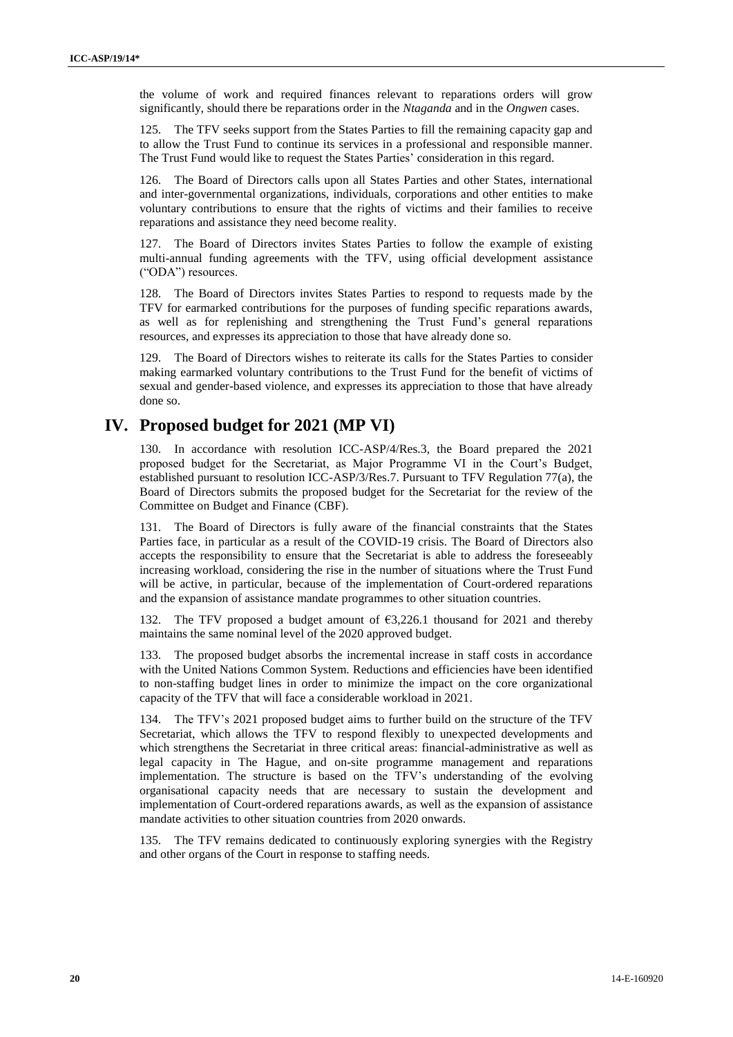the volume of work and required finances relevant to reparations orders will grow significantly, should there be reparations order in the *Ntaganda* and in the *Ongwen* cases.

125. The TFV seeks support from the States Parties to fill the remaining capacity gap and to allow the Trust Fund to continue its services in a professional and responsible manner. The Trust Fund would like to request the States Parties' consideration in this regard.

The Board of Directors calls upon all States Parties and other States, international and inter-governmental organizations, individuals, corporations and other entities to make voluntary contributions to ensure that the rights of victims and their families to receive reparations and assistance they need become reality.

127. The Board of Directors invites States Parties to follow the example of existing multi-annual funding agreements with the TFV, using official development assistance ("ODA") resources.

128. The Board of Directors invites States Parties to respond to requests made by the TFV for earmarked contributions for the purposes of funding specific reparations awards, as well as for replenishing and strengthening the Trust Fund's general reparations resources, and expresses its appreciation to those that have already done so.

129. The Board of Directors wishes to reiterate its calls for the States Parties to consider making earmarked voluntary contributions to the Trust Fund for the benefit of victims of sexual and gender-based violence, and expresses its appreciation to those that have already done so.

# **IV. Proposed budget for 2021 (MP VI)**

130. In accordance with resolution ICC-ASP/4/Res.3, the Board prepared the 2021 proposed budget for the Secretariat, as Major Programme VI in the Court's Budget, established pursuant to resolution ICC-ASP/3/Res.7. Pursuant to TFV Regulation 77(a), the Board of Directors submits the proposed budget for the Secretariat for the review of the Committee on Budget and Finance (CBF).

131. The Board of Directors is fully aware of the financial constraints that the States Parties face, in particular as a result of the COVID-19 crisis. The Board of Directors also accepts the responsibility to ensure that the Secretariat is able to address the foreseeably increasing workload, considering the rise in the number of situations where the Trust Fund will be active, in particular, because of the implementation of Court-ordered reparations and the expansion of assistance mandate programmes to other situation countries.

132. The TFV proposed a budget amount of €3,226.1 thousand for 2021 and thereby maintains the same nominal level of the 2020 approved budget.

133. The proposed budget absorbs the incremental increase in staff costs in accordance with the United Nations Common System. Reductions and efficiencies have been identified to non-staffing budget lines in order to minimize the impact on the core organizational capacity of the TFV that will face a considerable workload in 2021.

134. The TFV's 2021 proposed budget aims to further build on the structure of the TFV Secretariat, which allows the TFV to respond flexibly to unexpected developments and which strengthens the Secretariat in three critical areas: financial-administrative as well as legal capacity in The Hague, and on-site programme management and reparations implementation. The structure is based on the TFV's understanding of the evolving organisational capacity needs that are necessary to sustain the development and implementation of Court-ordered reparations awards, as well as the expansion of assistance mandate activities to other situation countries from 2020 onwards.

135. The TFV remains dedicated to continuously exploring synergies with the Registry and other organs of the Court in response to staffing needs.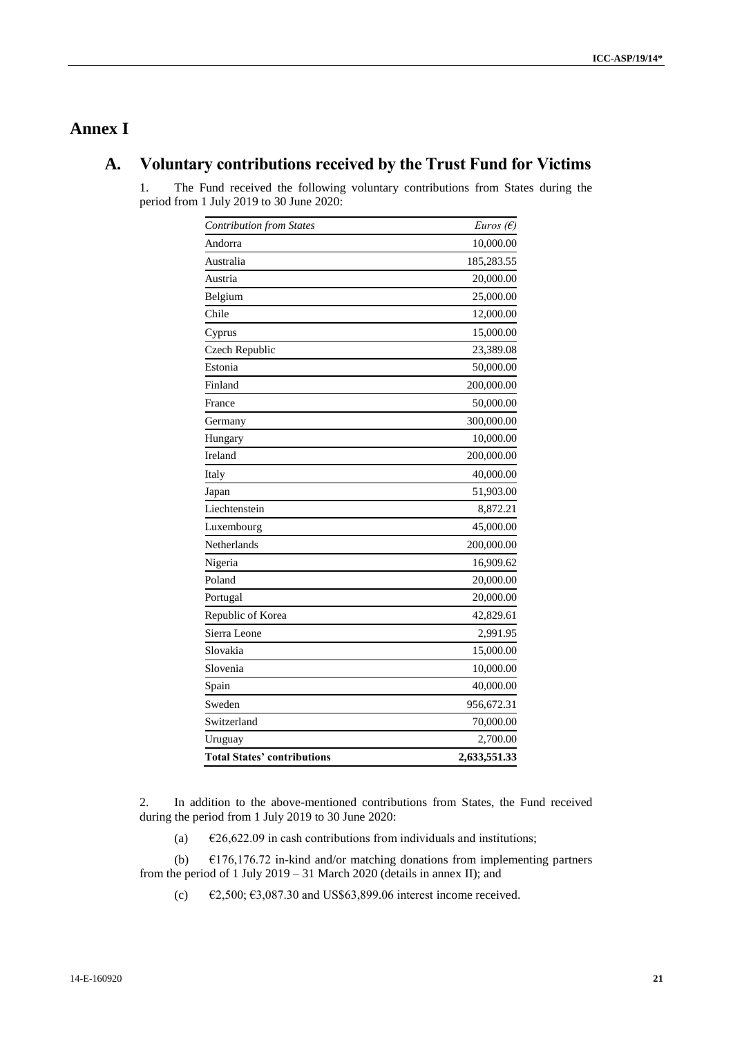# **Annex I**

# **A. Voluntary contributions received by the Trust Fund for Victims**

1. The Fund received the following voluntary contributions from States during the period from 1 July 2019 to 30 June 2020:

| <b>Contribution from States</b>    | Euros $(E)$  |
|------------------------------------|--------------|
| Andorra                            | 10,000.00    |
| Australia                          | 185,283.55   |
| Austria                            | 20,000.00    |
| Belgium                            | 25,000.00    |
| Chile                              | 12,000.00    |
| Cyprus                             | 15,000.00    |
| Czech Republic                     | 23,389.08    |
| Estonia                            | 50,000.00    |
| Finland                            | 200,000.00   |
| France                             | 50,000.00    |
| Germany                            | 300,000.00   |
| Hungary                            | 10,000.00    |
| Ireland                            | 200,000.00   |
| Italy                              | 40,000.00    |
| Japan                              | 51,903.00    |
| Liechtenstein                      | 8,872.21     |
| Luxembourg                         | 45,000.00    |
| Netherlands                        | 200,000.00   |
| Nigeria                            | 16,909.62    |
| Poland                             | 20,000.00    |
| Portugal                           | 20,000.00    |
| Republic of Korea                  | 42,829.61    |
| Sierra Leone                       | 2,991.95     |
| Slovakia                           | 15,000.00    |
| Slovenia                           | 10,000.00    |
| Spain                              | 40,000.00    |
| Sweden                             | 956,672.31   |
| Switzerland                        | 70,000.00    |
| Uruguay                            | 2,700.00     |
| <b>Total States' contributions</b> | 2,633,551.33 |

2. In addition to the above-mentioned contributions from States, the Fund received during the period from 1 July 2019 to 30 June 2020:

(a)  $\epsilon$ 26,622.09 in cash contributions from individuals and institutions;

(b)  $\epsilon$ 176,176.72 in-kind and/or matching donations from implementing partners from the period of 1 July 2019 – 31 March 2020 (details in annex II); and

(c)  $\epsilon$  £2,500;  $\epsilon$ 3,087.30 and US\$63,899.06 interest income received.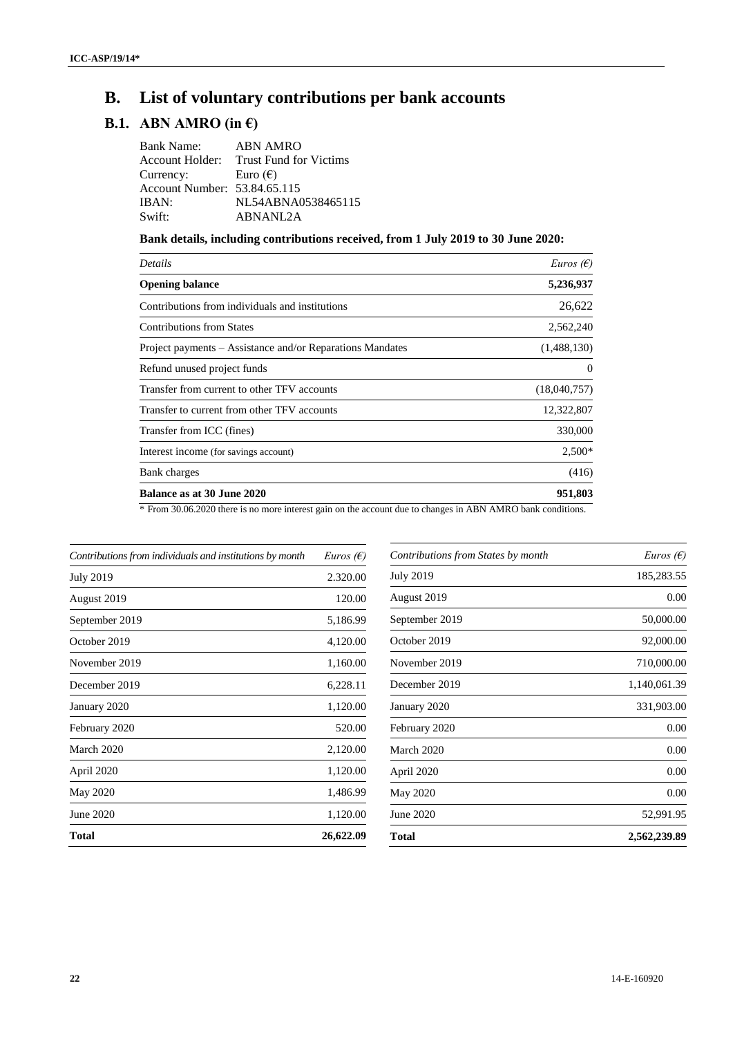# **B. List of voluntary contributions per bank accounts**

# **B.1. ABN AMRO (in €)**

| <b>ABN AMRO</b>                        |
|----------------------------------------|
| Account Holder: Trust Fund for Victims |
| Euro $(\epsilon)$                      |
| Account Number: 53.84.65.115           |
| NL54ABNA0538465115                     |
| ABNANL2A                               |
|                                        |

## **Bank details, including contributions received, from 1 July 2019 to 30 June 2020:**

| Details                                                   | <i>Euros</i> ( $\epsilon$ ) |
|-----------------------------------------------------------|-----------------------------|
| <b>Opening balance</b>                                    | 5,236,937                   |
| Contributions from individuals and institutions           | 26,622                      |
| <b>Contributions from States</b>                          | 2,562,240                   |
| Project payments – Assistance and/or Reparations Mandates | (1,488,130)                 |
| Refund unused project funds                               | $\Omega$                    |
| Transfer from current to other TFV accounts               | (18,040,757)                |
| Transfer to current from other TFV accounts               | 12,322,807                  |
| Transfer from ICC (fines)                                 | 330,000                     |
| Interest income (for savings account)                     | $2,500*$                    |
| Bank charges                                              | (416)                       |
| <b>Balance as at 30 June 2020</b>                         | 951,803                     |
| $\sim$                                                    | $\cdots$<br>$\cdots$        |

\* From 30.06.2020 there is no more interest gain on the account due to changes in ABN AMRO bank conditions.

| Contributions from individuals and institutions by month | <i>Euros</i> ( $\epsilon$ ) |
|----------------------------------------------------------|-----------------------------|
| <b>July 2019</b>                                         | 2.320.00                    |
| August 2019                                              | 120.00                      |
| September 2019                                           | 5,186.99                    |
| October 2019                                             | 4,120.00                    |
| November 2019                                            | 1,160.00                    |
| December 2019                                            | 6,228.11                    |
| January 2020                                             | 1,120.00                    |
| February 2020                                            | 520.00                      |
| March 2020                                               | 2,120.00                    |
| April 2020                                               | 1,120.00                    |
| May 2020                                                 | 1,486.99                    |
| June 2020                                                | 1,120.00                    |
| Total                                                    | 26,622.09                   |

| Contributions from States by month | <i>Euros</i> ( $\epsilon$ ) |
|------------------------------------|-----------------------------|
| <b>July 2019</b>                   | 185,283.55                  |
| August 2019                        | 0.00                        |
| September 2019                     | 50,000.00                   |
| October 2019                       | 92,000.00                   |
| November 2019                      | 710,000.00                  |
| December 2019                      | 1,140,061.39                |
| January 2020                       | 331,903.00                  |
| February 2020                      | 0.00                        |
| March 2020                         | 0.00                        |
| April 2020                         | 0.00                        |
| May 2020                           | 0.00                        |
| June 2020                          | 52,991.95                   |
| Total                              | 2,562,239.89                |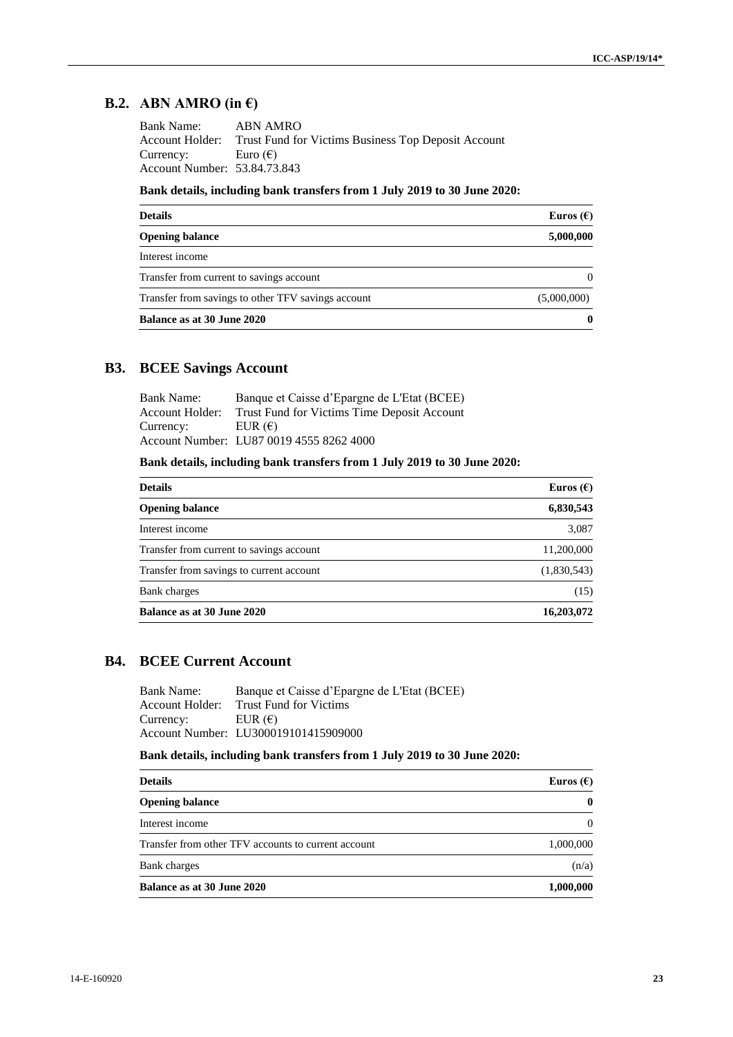# **B.2. ABN AMRO** (in  $\epsilon$ )

| <b>Bank Name:</b>            | ABN AMRO                                            |
|------------------------------|-----------------------------------------------------|
| Account Holder:              | Trust Fund for Victims Business Top Deposit Account |
| Currency:                    | Euro $(\epsilon)$                                   |
| Account Number: 53.84.73.843 |                                                     |

## **Bank details, including bank transfers from 1 July 2019 to 30 June 2020:**

| <b>Details</b>                                     | Euros $(\epsilon)$ |
|----------------------------------------------------|--------------------|
| <b>Opening balance</b>                             | 5,000,000          |
| Interest income                                    |                    |
| Transfer from current to savings account           |                    |
| Transfer from savings to other TFV savings account | (5,000,000)        |
| Balance as at 30 June 2020                         | 0                  |

## **B3. BCEE Savings Account**

| Bank Name:      | Banque et Caisse d'Epargne de L'Etat (BCEE) |
|-----------------|---------------------------------------------|
| Account Holder: | Trust Fund for Victims Time Deposit Account |
| Currency:       | EUR $(\epsilon)$                            |
|                 | Account Number: LU87 0019 4555 8262 4000    |

## **Bank details, including bank transfers from 1 July 2019 to 30 June 2020:**

| <b>Details</b>                           | Euros $(\epsilon)$ |
|------------------------------------------|--------------------|
| <b>Opening balance</b>                   | 6,830,543          |
| Interest income                          | 3,087              |
| Transfer from current to savings account | 11,200,000         |
| Transfer from savings to current account | (1,830,543)        |
| Bank charges                             | (15)               |
| Balance as at 30 June 2020               | 16,203,072         |

## **B4. BCEE Current Account**

| Banque et Caisse d'Epargne de L'Etat (BCEE) |
|---------------------------------------------|
| <b>Trust Fund for Victims</b>               |
| EUR $(\epsilon)$                            |
| Account Number: LU300019101415909000        |
|                                             |

## **Bank details, including bank transfers from 1 July 2019 to 30 June 2020:**

| <b>Details</b>                                      | Euros $(E)$ |
|-----------------------------------------------------|-------------|
| <b>Opening balance</b>                              | 0           |
| Interest income                                     | $\sqrt{ }$  |
| Transfer from other TFV accounts to current account | 1,000,000   |
| <b>Bank</b> charges                                 | (n/a)       |
| <b>Balance as at 30 June 2020</b>                   | 1,000,000   |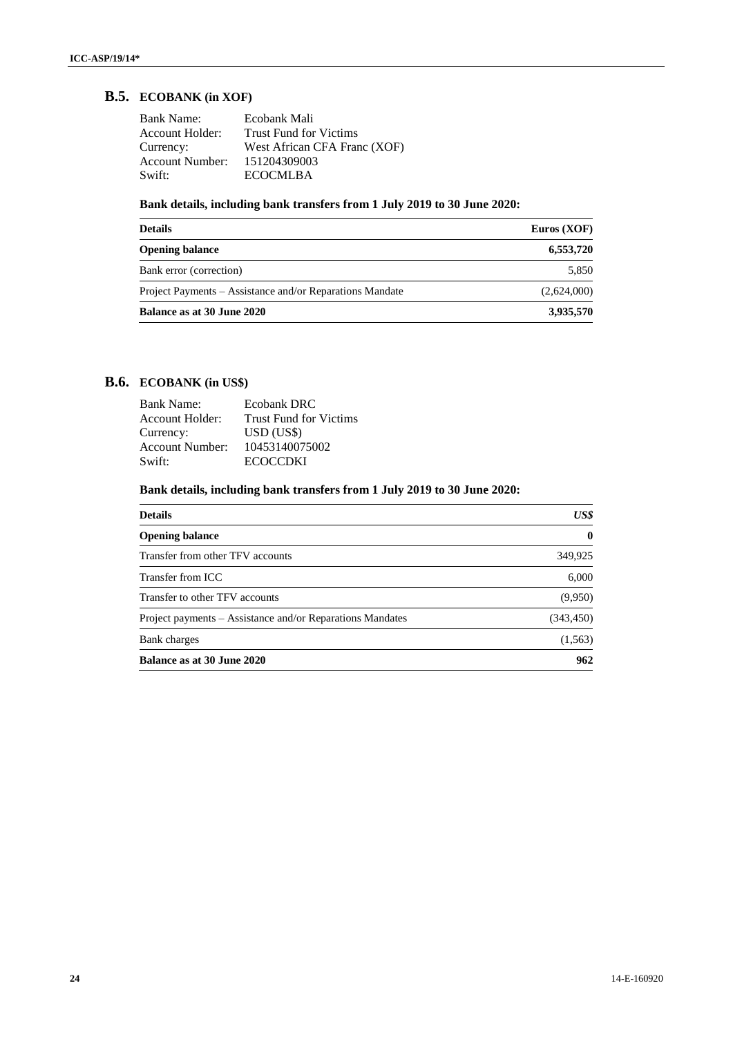## **B.5. ECOBANK (in XOF)**

| <b>Bank Name:</b>      | Ecobank Mali                  |
|------------------------|-------------------------------|
| Account Holder:        | <b>Trust Fund for Victims</b> |
| Currency:              | West African CFA Franc (XOF)  |
| <b>Account Number:</b> | 151204309003                  |
| Swift:                 | <b>ECOCMLBA</b>               |

## **Bank details, including bank transfers from 1 July 2019 to 30 June 2020:**

| <b>Details</b>                                           | Euros $(XOF)$ |
|----------------------------------------------------------|---------------|
| <b>Opening balance</b>                                   | 6,553,720     |
| Bank error (correction)                                  | 5,850         |
| Project Payments – Assistance and/or Reparations Mandate | (2,624,000)   |
| Balance as at 30 June 2020                               | 3,935,570     |

## **B.6. ECOBANK (in US\$)**

| <b>Bank Name:</b>      | <b>Ecobank DRC</b>            |
|------------------------|-------------------------------|
| Account Holder:        | <b>Trust Fund for Victims</b> |
| Currency:              | $USD$ (US\$)                  |
| <b>Account Number:</b> | 10453140075002                |
| Swift:                 | <b>ECOCCDKI</b>               |

## **Bank details, including bank transfers from 1 July 2019 to 30 June 2020:**

| <b>Details</b>                                            | US\$        |
|-----------------------------------------------------------|-------------|
| <b>Opening balance</b>                                    | $\mathbf 0$ |
| Transfer from other TFV accounts                          | 349,925     |
| Transfer from ICC                                         | 6,000       |
| Transfer to other TFV accounts                            | (9,950)     |
| Project payments – Assistance and/or Reparations Mandates | (343, 450)  |
| Bank charges                                              | (1, 563)    |
| Balance as at 30 June 2020                                | 962         |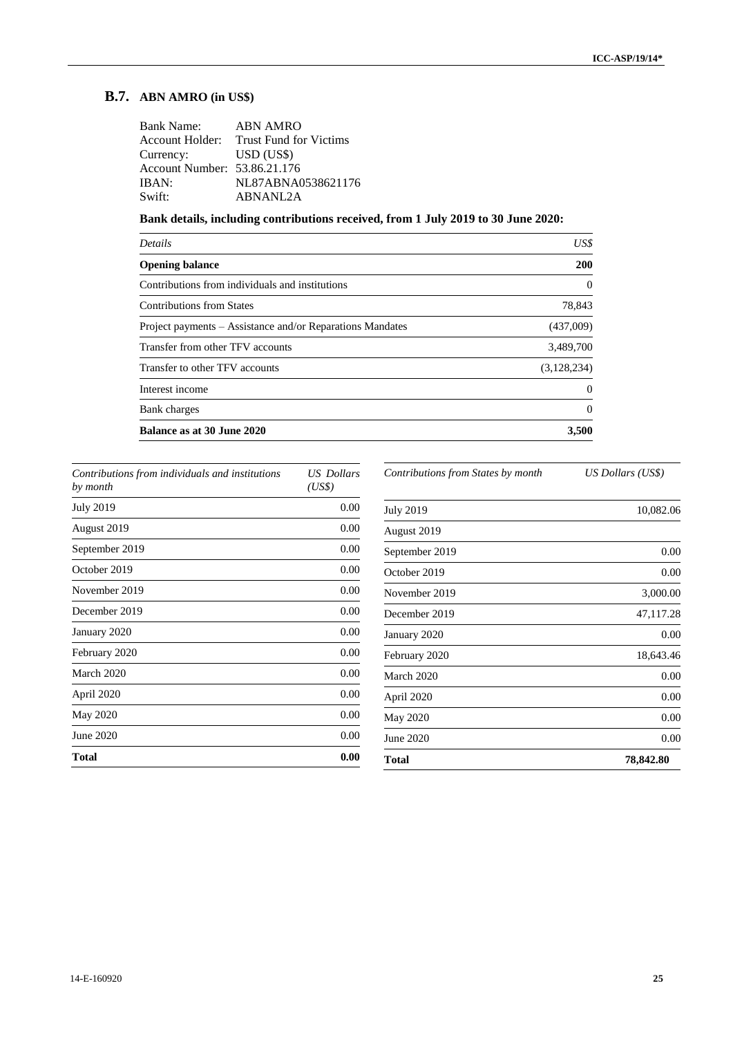## **B.7. ABN AMRO (in US\$)**

| <b>Bank Name:</b>            | <b>ABN AMRO</b>                        |
|------------------------------|----------------------------------------|
|                              | Account Holder: Trust Fund for Victims |
| Currency:                    | USD (USS)                              |
| Account Number: 53.86.21.176 |                                        |
| IBAN:                        | NL87ABNA0538621176                     |
| Swift:                       | ABNANL2A                               |

**Bank details, including contributions received, from 1 July 2019 to 30 June 2020:**

| US\$        |
|-------------|
| 200         |
| $\Omega$    |
| 78,843      |
| (437,009)   |
| 3,489,700   |
| (3,128,234) |
| 0           |
| 0           |
| 3,500       |
|             |

| Contributions from individuals and institutions<br>by month | US Dollars<br>(US\$) |
|-------------------------------------------------------------|----------------------|
| <b>July 2019</b>                                            | 0.00                 |
| August 2019                                                 | 0.00                 |
| September 2019                                              | 0.00                 |
| October 2019                                                | 0.00                 |
| November 2019                                               | 0.00                 |
| December 2019                                               | 0.00                 |
| January 2020                                                | 0.00                 |
| February 2020                                               | 0.00                 |
| March 2020                                                  | 0.00                 |
| April 2020                                                  | 0.00                 |
| May 2020                                                    | 0.00                 |
| June 2020                                                   | 0.00                 |
| <b>Total</b>                                                | 0.00                 |

*Contributions from States by month US Dollars (US\$)*

| Total            | 78,842.80 |
|------------------|-----------|
| June 2020        | 0.00      |
| May 2020         | 0.00      |
| April 2020       | 0.00      |
| March 2020       | 0.00      |
| February 2020    | 18,643.46 |
| January 2020     | 0.00      |
| December 2019    | 47,117.28 |
| November 2019    | 3,000.00  |
| October 2019     | 0.00      |
| September 2019   | 0.00      |
| August 2019      |           |
| <b>July 2019</b> | 10,082.06 |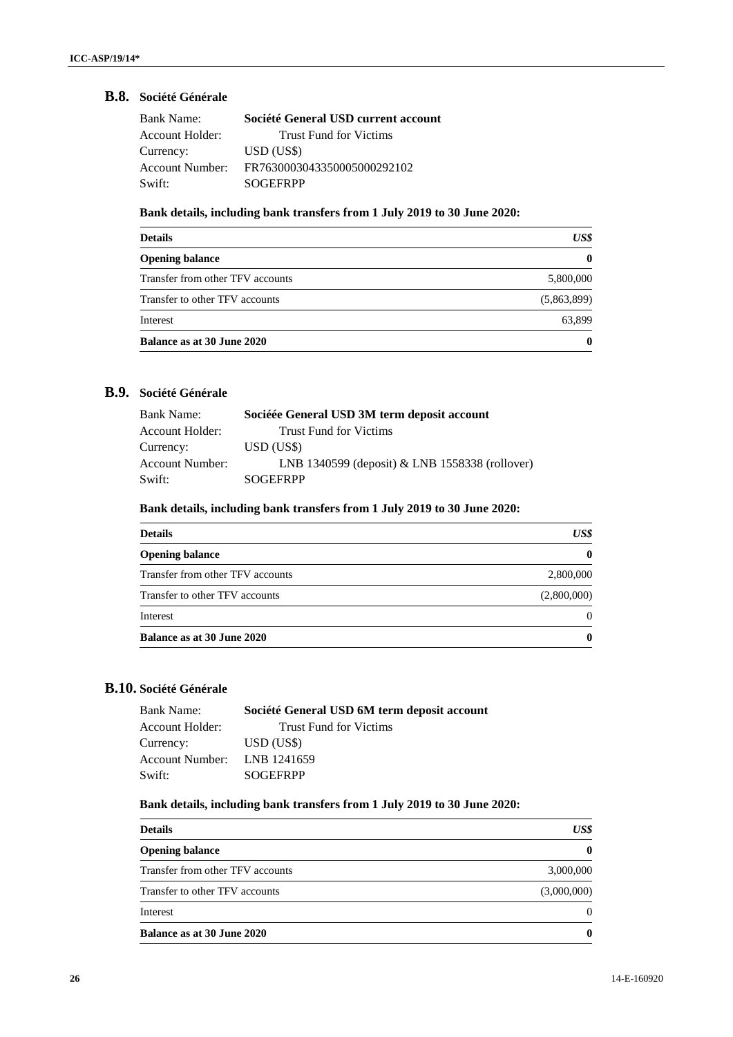## **B.8. Société Générale**

| Bank Name:      | Société General USD current account |
|-----------------|-------------------------------------|
| Account Holder: | <b>Trust Fund for Victims</b>       |
| Currency:       | USD (USS)                           |
| Account Number: | FR7630003043350005000292102         |
| Swift:          | <b>SOGEFRPP</b>                     |

## **Bank details, including bank transfers from 1 July 2019 to 30 June 2020:**

| <b>Details</b>                   | US\$         |
|----------------------------------|--------------|
| <b>Opening balance</b>           | $\mathbf{0}$ |
| Transfer from other TFV accounts | 5,800,000    |
| Transfer to other TFV accounts   | (5,863,899)  |
| Interest                         | 63.899       |
| Balance as at 30 June 2020       | $\mathbf{0}$ |

## **B.9. Société Générale**

| <b>Bank Name:</b> | Sociéée General USD 3M term deposit account    |
|-------------------|------------------------------------------------|
| Account Holder:   | <b>Trust Fund for Victims</b>                  |
| Currency:         | USD (USS)                                      |
| Account Number:   | LNB 1340599 (deposit) & LNB 1558338 (rollover) |
| Swift:            | <b>SOGEFRPP</b>                                |

## **Bank details, including bank transfers from 1 July 2019 to 30 June 2020:**

| <b>Details</b>                   | US\$         |
|----------------------------------|--------------|
| <b>Opening balance</b>           | $\mathbf{0}$ |
| Transfer from other TFV accounts | 2,800,000    |
| Transfer to other TFV accounts   | (2,800,000)  |
| Interest                         | $\Omega$     |
| Balance as at 30 June 2020       | $\mathbf{0}$ |

## **B.10. Société Générale**

| Société General USD 6M term deposit account |
|---------------------------------------------|
| <b>Trust Fund for Victims</b>               |
| USD (US\$)                                  |
| Account Number: LNB 1241659                 |
| <b>SOGEFRPP</b>                             |
|                                             |

## **Bank details, including bank transfers from 1 July 2019 to 30 June 2020:**

| <b>Details</b>                   | US\$        |
|----------------------------------|-------------|
| <b>Opening balance</b>           |             |
| Transfer from other TFV accounts | 3,000,000   |
| Transfer to other TFV accounts   | (3,000,000) |
| Interest                         | 0           |
| Balance as at 30 June 2020       |             |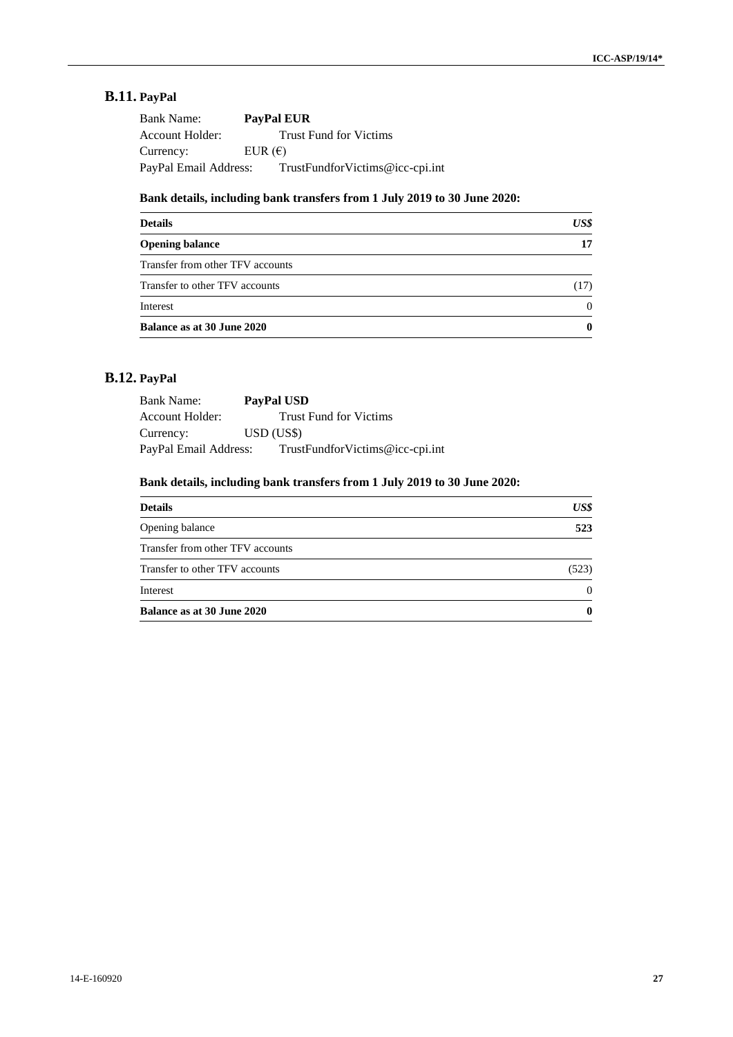# **B.11. PayPal**

| <b>Bank Name:</b>     | <b>PayPal EUR</b>               |
|-----------------------|---------------------------------|
| Account Holder:       | <b>Trust Fund for Victims</b>   |
| Currency:             | EUR $(\epsilon)$                |
| PayPal Email Address: | TrustFundforVictims@icc-cpi.int |

## **Bank details, including bank transfers from 1 July 2019 to 30 June 2020:**

| <b>Details</b>                   | US\$     |
|----------------------------------|----------|
| <b>Opening balance</b>           | 17       |
| Transfer from other TFV accounts |          |
| Transfer to other TFV accounts   | (17)     |
| Interest                         | $\Omega$ |
| Balance as at 30 June 2020       | 0        |

## **B.12. PayPal**

| Bank Name:            | PayPal USD                      |
|-----------------------|---------------------------------|
| Account Holder:       | <b>Trust Fund for Victims</b>   |
| Currency:             | USD (USS)                       |
| PayPal Email Address: | TrustFundforVictims@icc-cpi.int |

## **Bank details, including bank transfers from 1 July 2019 to 30 June 2020:**

| <b>Details</b>                   | US\$     |
|----------------------------------|----------|
| Opening balance                  | 523      |
| Transfer from other TFV accounts |          |
| Transfer to other TFV accounts   | (523)    |
| Interest                         | $\Omega$ |
| Balance as at 30 June 2020       | $\bf{0}$ |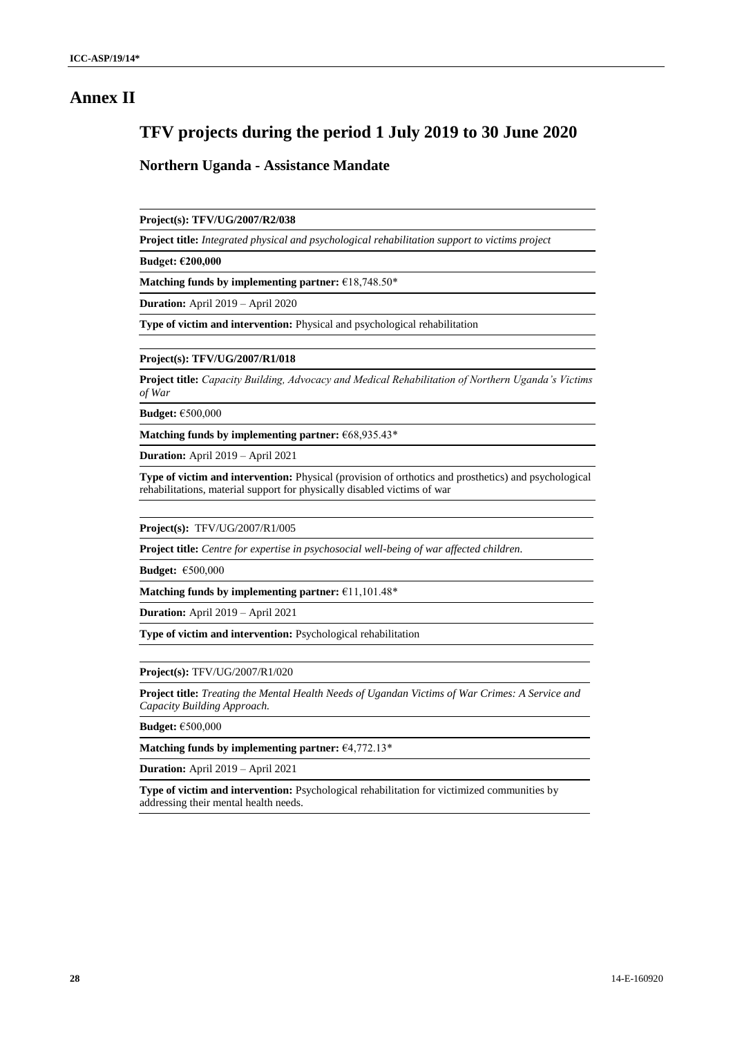## **Annex II**

# **TFV projects during the period 1 July 2019 to 30 June 2020**

#### **Northern Uganda - Assistance Mandate**

**Project(s): TFV/UG/2007/R2/038**

**Project title:** *Integrated physical and psychological rehabilitation support to victims project*

**Budget: €200,000**

**Matching funds by implementing partner:** €18,748.50\*

**Duration:** April 2019 – April 2020

**Type of victim and intervention:** Physical and psychological rehabilitation

**Project(s): TFV/UG/2007/R1/018**

**Project title:** *Capacity Building, Advocacy and Medical Rehabilitation of Northern Uganda's Victims of War*

**Budget:** €500,000

**Matching funds by implementing partner:** €68,935.43\*

**Duration:** April 2019 – April 2021

**Type of victim and intervention:** Physical (provision of orthotics and prosthetics) and psychological rehabilitations, material support for physically disabled victims of war

**Project(s):** TFV/UG/2007/R1/005

**Project title:** *Centre for expertise in psychosocial well-being of war affected children.*

**Budget:** €500,000

**Matching funds by implementing partner:** €11,101.48\*

**Duration:** April 2019 – April 2021

**Type of victim and intervention:** Psychological rehabilitation

**Project(s):** TFV/UG/2007/R1/020

**Project title:** *Treating the Mental Health Needs of Ugandan Victims of War Crimes: A Service and Capacity Building Approach.*

**Budget:** €500,000

**Matching funds by implementing partner:** €4,772.13\*

**Duration:** April 2019 – April 2021

**Type of victim and intervention:** Psychological rehabilitation for victimized communities by addressing their mental health needs.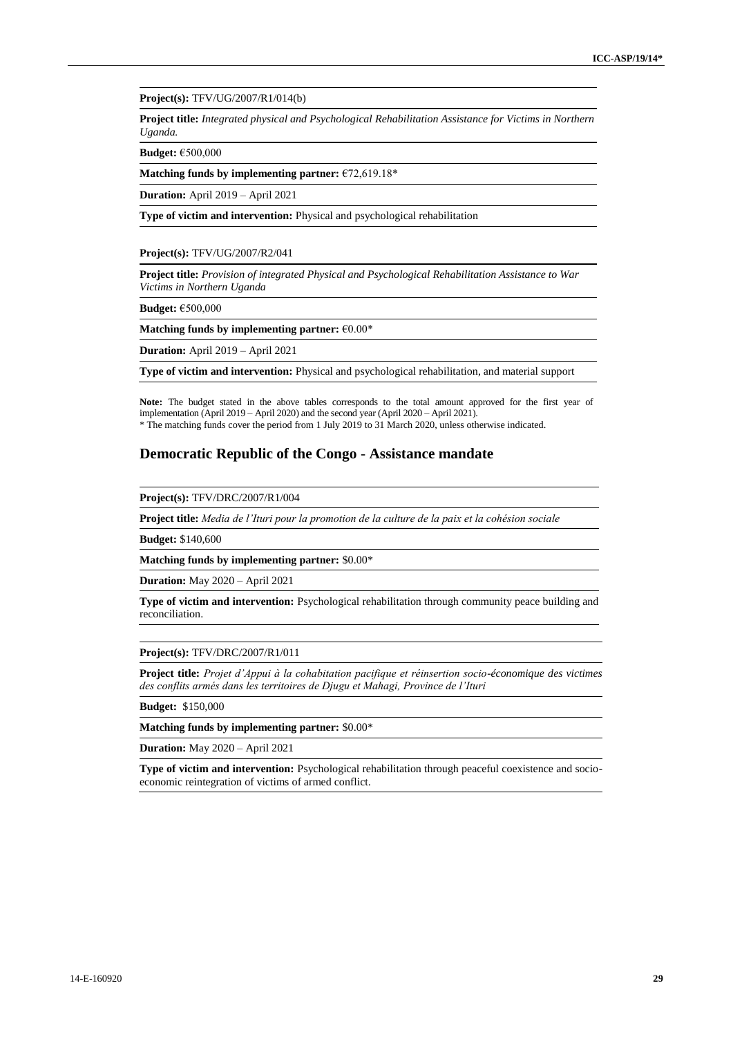**Project(s):** TFV/UG/2007/R1/014(b)

**Project title:** *Integrated physical and Psychological Rehabilitation Assistance for Victims in Northern Uganda.*

**Budget:** €500,000

**Matching funds by implementing partner:** €72,619.18\*

**Duration:** April 2019 – April 2021

**Type of victim and intervention:** Physical and psychological rehabilitation

#### **Project(s):** TFV/UG/2007/R2/041

**Project title:** *Provision of integrated Physical and Psychological Rehabilitation Assistance to War Victims in Northern Uganda*

**Budget:** €500,000

**Matching funds by implementing partner:** €0.00\*

**Duration:** April 2019 – April 2021

**Type of victim and intervention:** Physical and psychological rehabilitation, and material support

**Note:** The budget stated in the above tables corresponds to the total amount approved for the first year of implementation (April 2019 – April 2020) and the second year (April 2020 – April 2021).

\* The matching funds cover the period from 1 July 2019 to 31 March 2020, unless otherwise indicated.

#### **Democratic Republic of the Congo** - **Assistance mandate**

**Project(s):** TFV/DRC/2007/R1/004

**Project title:** *Media de l'Ituri pour la promotion de la culture de la paix et la cohésion sociale*

**Budget:** \$140,600

**Matching funds by implementing partner:** \$0.00\*

**Duration:** May 2020 – April 2021

**Type of victim and intervention:** Psychological rehabilitation through community peace building and reconciliation.

#### **Project(s):** TFV/DRC/2007/R1/011

**Project title:** *Projet d'Appui à la cohabitation pacifique et réinsertion socio-économique des victimes des conflits armés dans les territoires de Djugu et Mahagi, Province de l'Ituri*

**Budget:** \$150,000

**Matching funds by implementing partner:** \$0.00\*

**Duration:** May 2020 – April 2021

**Type of victim and intervention:** Psychological rehabilitation through peaceful coexistence and socioeconomic reintegration of victims of armed conflict.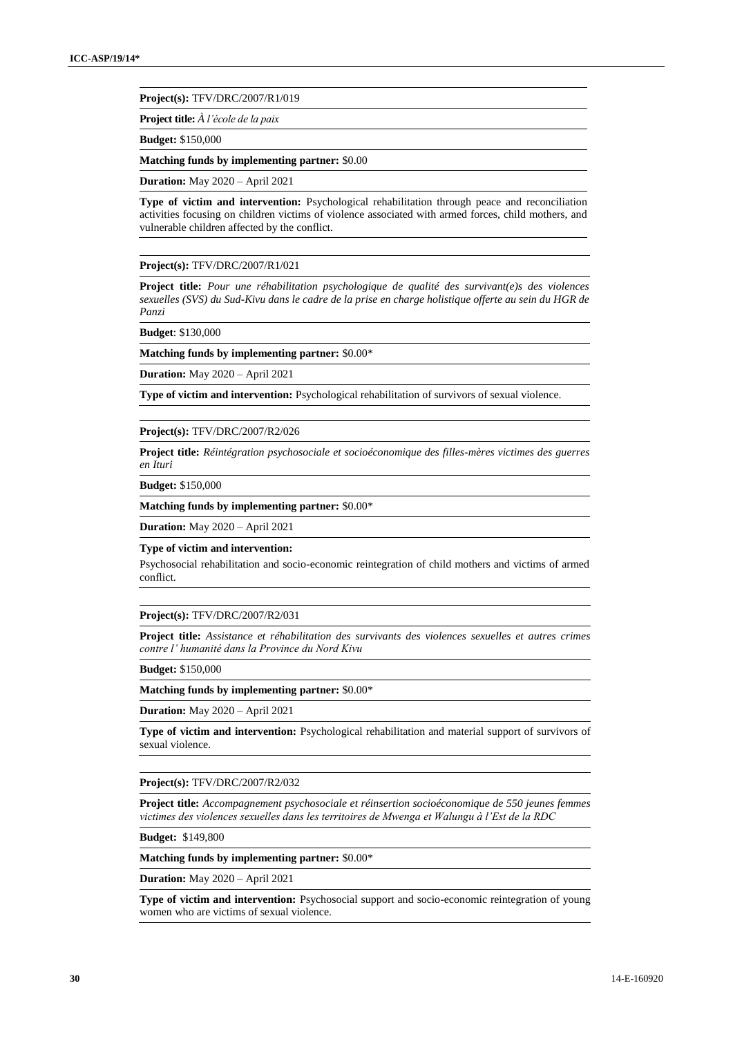**Project(s):** TFV/DRC/2007/R1/019

**Project title:** *À l'école de la paix*

**Budget:** \$150,000

**Matching funds by implementing partner:** \$0.00

**Duration:** May 2020 – April 2021

**Type of victim and intervention:** Psychological rehabilitation through peace and reconciliation activities focusing on children victims of violence associated with armed forces, child mothers, and vulnerable children affected by the conflict.

**Project(s):** TFV/DRC/2007/R1/021

**Project title:** *Pour une réhabilitation psychologique de qualité des survivant(e)s des violences sexuelles (SVS) du Sud-Kivu dans le cadre de la prise en charge holistique offerte au sein du HGR de Panzi*

**Budget**: \$130,000

**Matching funds by implementing partner:** \$0.00\*

**Duration:** May 2020 – April 2021

**Type of victim and intervention:** Psychological rehabilitation of survivors of sexual violence.

**Project(s):** TFV/DRC/2007/R2/026

**Project title:** *Réintégration psychosociale et socioéconomique des filles-mères victimes des guerres en Ituri*

**Budget:** \$150,000

**Matching funds by implementing partner:** \$0.00\*

**Duration:** May 2020 – April 2021

#### **Type of victim and intervention:**

Psychosocial rehabilitation and socio-economic reintegration of child mothers and victims of armed conflict.

#### **Project(s):** TFV/DRC/2007/R2/031

**Project title:** *Assistance et réhabilitation des survivants des violences sexuelles et autres crimes contre l' humanité dans la Province du Nord Kivu*

**Budget:** \$150,000

**Matching funds by implementing partner:** \$0.00\*

**Duration:** May 2020 – April 2021

**Type of victim and intervention:** Psychological rehabilitation and material support of survivors of sexual violence.

**Project(s):** TFV/DRC/2007/R2/032

**Project title:** *Accompagnement psychosociale et réinsertion socioéconomique de 550 jeunes femmes victimes des violences sexuelles dans les territoires de Mwenga et Walungu à l'Est de la RDC*

**Budget:** \$149,800

**Matching funds by implementing partner:** \$0.00\*

**Duration:** May 2020 – April 2021

**Type of victim and intervention:** Psychosocial support and socio-economic reintegration of young women who are victims of sexual violence.